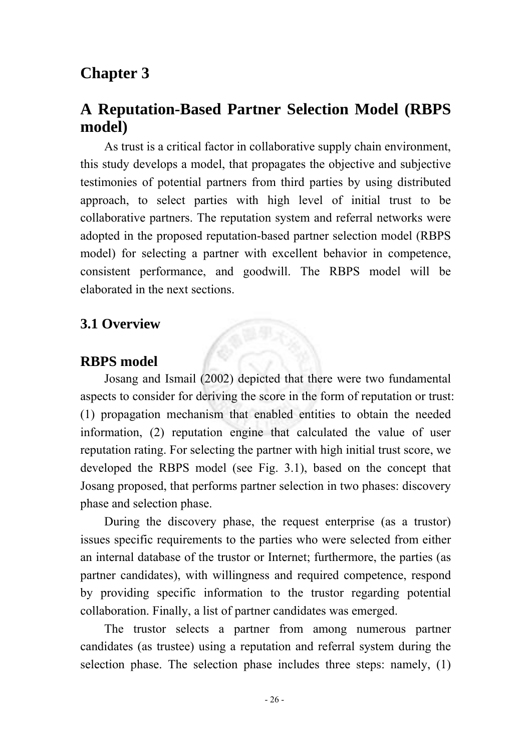# **Chapter 3**

# **A Reputation-Based Partner Selection Model (RBPS model)**

As trust is a critical factor in collaborative supply chain environment, this study develops a model, that propagates the objective and subjective testimonies of potential partners from third parties by using distributed approach, to select parties with high level of initial trust to be collaborative partners. The reputation system and referral networks were adopted in the proposed reputation-based partner selection model (RBPS model) for selecting a partner with excellent behavior in competence, consistent performance, and goodwill. The RBPS model will be elaborated in the next sections.

## **3.1 Overview**

#### **RBPS model**

Josang and Ismail (2002) depicted that there were two fundamental aspects to consider for deriving the score in the form of reputation or trust: (1) propagation mechanism that enabled entities to obtain the needed information, (2) reputation engine that calculated the value of user reputation rating. For selecting the partner with high initial trust score, we developed the RBPS model (see Fig. 3.1), based on the concept that Josang proposed, that performs partner selection in two phases: discovery phase and selection phase.

During the discovery phase, the request enterprise (as a trustor) issues specific requirements to the parties who were selected from either an internal database of the trustor or Internet; furthermore, the parties (as partner candidates), with willingness and required competence, respond by providing specific information to the trustor regarding potential collaboration. Finally, a list of partner candidates was emerged.

The trustor selects a partner from among numerous partner candidates (as trustee) using a reputation and referral system during the selection phase. The selection phase includes three steps: namely, (1)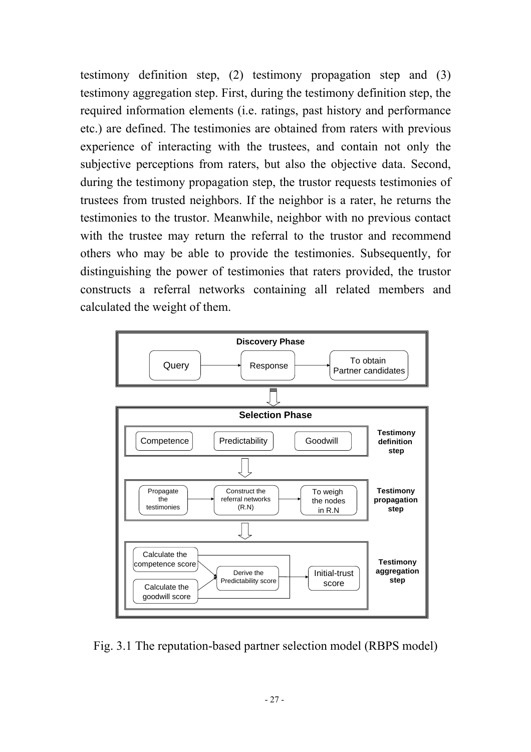testimony definition step, (2) testimony propagation step and (3) testimony aggregation step. First, during the testimony definition step, the required information elements (i.e. ratings, past history and performance etc.) are defined. The testimonies are obtained from raters with previous experience of interacting with the trustees, and contain not only the subjective perceptions from raters, but also the objective data. Second, during the testimony propagation step, the trustor requests testimonies of trustees from trusted neighbors. If the neighbor is a rater, he returns the testimonies to the trustor. Meanwhile, neighbor with no previous contact with the trustee may return the referral to the trustor and recommend others who may be able to provide the testimonies. Subsequently, for distinguishing the power of testimonies that raters provided, the trustor constructs a referral networks containing all related members and calculated the weight of them.



Fig. 3.1 The reputation-based partner selection model (RBPS model)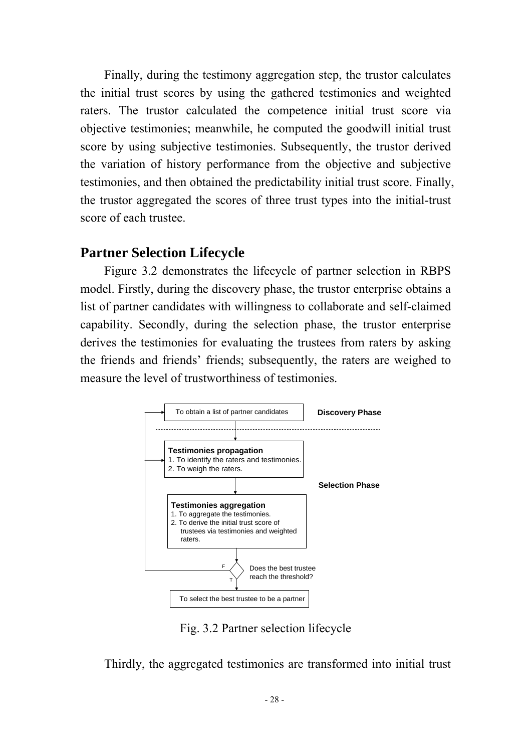Finally, during the testimony aggregation step, the trustor calculates the initial trust scores by using the gathered testimonies and weighted raters. The trustor calculated the competence initial trust score via objective testimonies; meanwhile, he computed the goodwill initial trust score by using subjective testimonies. Subsequently, the trustor derived the variation of history performance from the objective and subjective testimonies, and then obtained the predictability initial trust score. Finally, the trustor aggregated the scores of three trust types into the initial-trust score of each trustee.

## **Partner Selection Lifecycle**

Figure 3.2 demonstrates the lifecycle of partner selection in RBPS model. Firstly, during the discovery phase, the trustor enterprise obtains a list of partner candidates with willingness to collaborate and self-claimed capability. Secondly, during the selection phase, the trustor enterprise derives the testimonies for evaluating the trustees from raters by asking the friends and friends' friends; subsequently, the raters are weighed to measure the level of trustworthiness of testimonies.



Fig. 3.2 Partner selection lifecycle

Thirdly, the aggregated testimonies are transformed into initial trust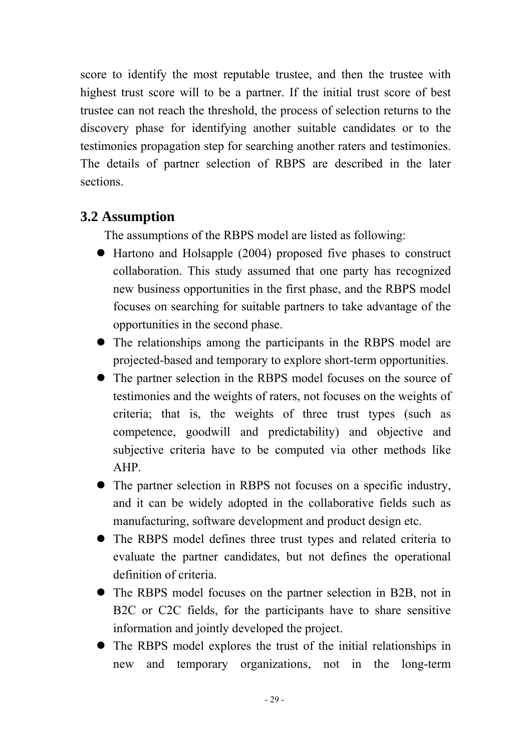score to identify the most reputable trustee, and then the trustee with highest trust score will to be a partner. If the initial trust score of best trustee can not reach the threshold, the process of selection returns to the discovery phase for identifying another suitable candidates or to the testimonies propagation step for searching another raters and testimonies. The details of partner selection of RBPS are described in the later sections.

## **3.2 Assumption**

The assumptions of the RBPS model are listed as following:

- Hartono and Holsapple (2004) proposed five phases to construct collaboration. This study assumed that one party has recognized new business opportunities in the first phase, and the RBPS model focuses on searching for suitable partners to take advantage of the opportunities in the second phase.
- The relationships among the participants in the RBPS model are projected-based and temporary to explore short-term opportunities.
- The partner selection in the RBPS model focuses on the source of testimonies and the weights of raters, not focuses on the weights of criteria; that is, the weights of three trust types (such as competence, goodwill and predictability) and objective and subjective criteria have to be computed via other methods like AHP.
- The partner selection in RBPS not focuses on a specific industry, and it can be widely adopted in the collaborative fields such as manufacturing, software development and product design etc.
- The RBPS model defines three trust types and related criteria to evaluate the partner candidates, but not defines the operational definition of criteria.
- The RBPS model focuses on the partner selection in B2B, not in B2C or C2C fields, for the participants have to share sensitive information and jointly developed the project.
- The RBPS model explores the trust of the initial relationships in new and temporary organizations, not in the long-term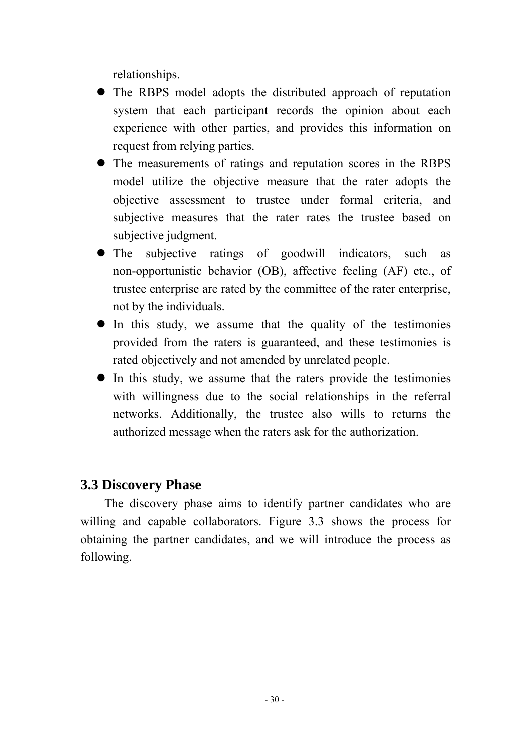relationships.

- The RBPS model adopts the distributed approach of reputation system that each participant records the opinion about each experience with other parties, and provides this information on request from relying parties.
- The measurements of ratings and reputation scores in the RBPS model utilize the objective measure that the rater adopts the objective assessment to trustee under formal criteria, and subjective measures that the rater rates the trustee based on subjective judgment.
- The subjective ratings of goodwill indicators, such as non-opportunistic behavior (OB), affective feeling (AF) etc., of trustee enterprise are rated by the committee of the rater enterprise, not by the individuals.
- $\bullet$  In this study, we assume that the quality of the testimonies provided from the raters is guaranteed, and these testimonies is rated objectively and not amended by unrelated people.
- $\bullet$  In this study, we assume that the raters provide the testimonies with willingness due to the social relationships in the referral networks. Additionally, the trustee also wills to returns the authorized message when the raters ask for the authorization.

# **3.3 Discovery Phase**

The discovery phase aims to identify partner candidates who are willing and capable collaborators. Figure 3.3 shows the process for obtaining the partner candidates, and we will introduce the process as following.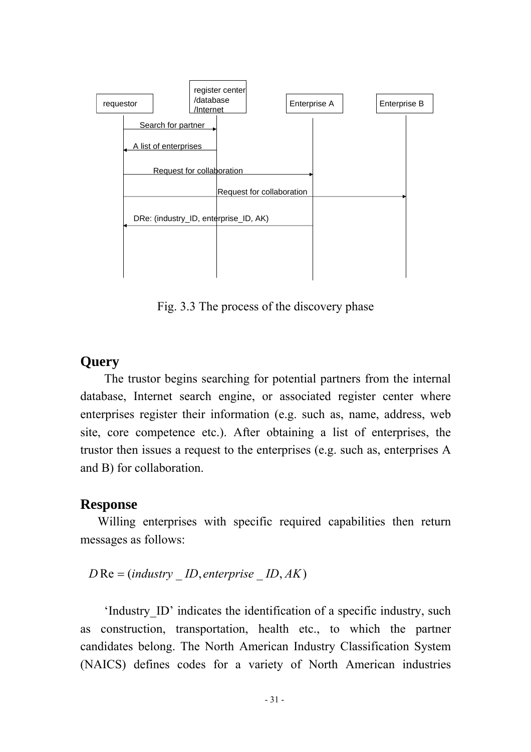

Fig. 3.3 The process of the discovery phase

## **Query**

The trustor begins searching for potential partners from the internal database, Internet search engine, or associated register center where enterprises register their information (e.g. such as, name, address, web site, core competence etc.). After obtaining a list of enterprises, the trustor then issues a request to the enterprises (e.g. such as, enterprises A and B) for collaboration.

#### **Response**

Willing enterprises with specific required capabilities then return messages as follows:

```
D Re = (industry _ ID, enterprise _ ID, AK)
```
'Industry\_ID' indicates the identification of a specific industry, such as construction, transportation, health etc., to which the partner candidates belong. The North American Industry Classification System (NAICS) defines codes for a variety of North American industries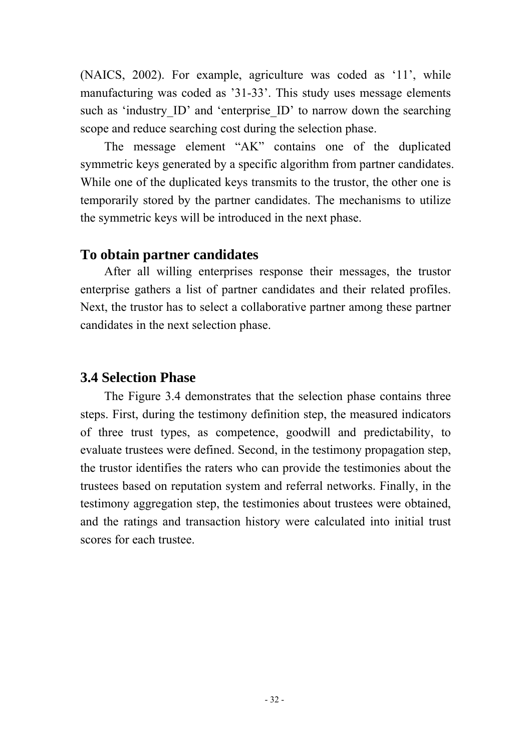(NAICS, 2002). For example, agriculture was coded as '11', while manufacturing was coded as '31-33'. This study uses message elements such as 'industry ID' and 'enterprise ID' to narrow down the searching scope and reduce searching cost during the selection phase.

The message element "AK" contains one of the duplicated symmetric keys generated by a specific algorithm from partner candidates. While one of the duplicated keys transmits to the trustor, the other one is temporarily stored by the partner candidates. The mechanisms to utilize the symmetric keys will be introduced in the next phase.

## **To obtain partner candidates**

After all willing enterprises response their messages, the trustor enterprise gathers a list of partner candidates and their related profiles. Next, the trustor has to select a collaborative partner among these partner candidates in the next selection phase.

# **3.4 Selection Phase**

The Figure 3.4 demonstrates that the selection phase contains three steps. First, during the testimony definition step, the measured indicators of three trust types, as competence, goodwill and predictability, to evaluate trustees were defined. Second, in the testimony propagation step, the trustor identifies the raters who can provide the testimonies about the trustees based on reputation system and referral networks. Finally, in the testimony aggregation step, the testimonies about trustees were obtained, and the ratings and transaction history were calculated into initial trust scores for each trustee.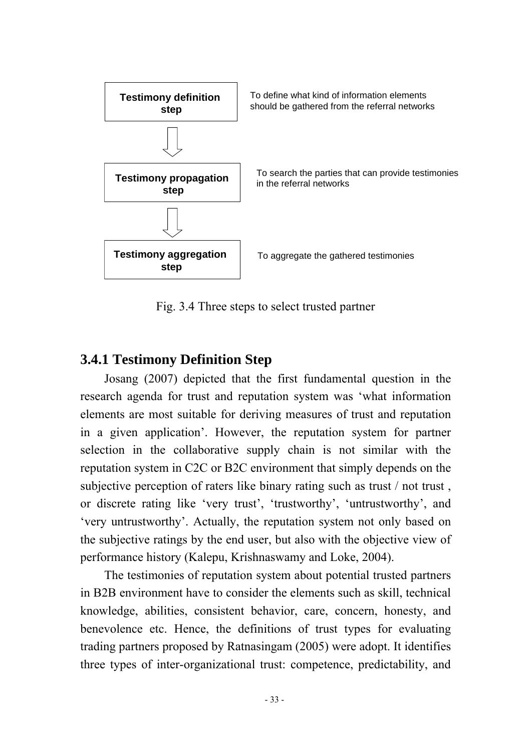

Fig. 3.4 Three steps to select trusted partner

## **3.4.1 Testimony Definition Step**

Josang (2007) depicted that the first fundamental question in the research agenda for trust and reputation system was 'what information elements are most suitable for deriving measures of trust and reputation in a given application'. However, the reputation system for partner selection in the collaborative supply chain is not similar with the reputation system in C2C or B2C environment that simply depends on the subjective perception of raters like binary rating such as trust / not trust , or discrete rating like 'very trust', 'trustworthy', 'untrustworthy', and 'very untrustworthy'. Actually, the reputation system not only based on the subjective ratings by the end user, but also with the objective view of performance history (Kalepu, Krishnaswamy and Loke, 2004).

The testimonies of reputation system about potential trusted partners in B2B environment have to consider the elements such as skill, technical knowledge, abilities, consistent behavior, care, concern, honesty, and benevolence etc. Hence, the definitions of trust types for evaluating trading partners proposed by Ratnasingam (2005) were adopt. It identifies three types of inter-organizational trust: competence, predictability, and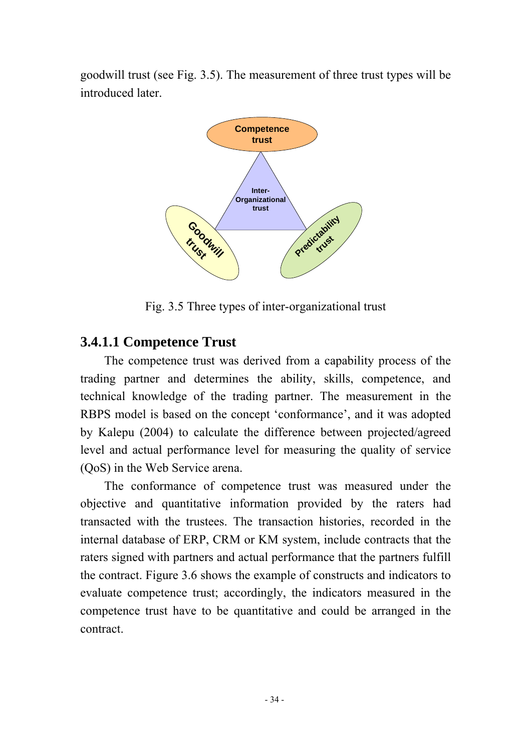goodwill trust (see Fig. 3.5). The measurement of three trust types will be introduced later.



Fig. 3.5 Three types of inter-organizational trust

## **3.4.1.1 Competence Trust**

The competence trust was derived from a capability process of the trading partner and determines the ability, skills, competence, and technical knowledge of the trading partner. The measurement in the RBPS model is based on the concept 'conformance', and it was adopted by Kalepu (2004) to calculate the difference between projected/agreed level and actual performance level for measuring the quality of service (QoS) in the Web Service arena.

The conformance of competence trust was measured under the objective and quantitative information provided by the raters had transacted with the trustees. The transaction histories, recorded in the internal database of ERP, CRM or KM system, include contracts that the raters signed with partners and actual performance that the partners fulfill the contract. Figure 3.6 shows the example of constructs and indicators to evaluate competence trust; accordingly, the indicators measured in the competence trust have to be quantitative and could be arranged in the contract.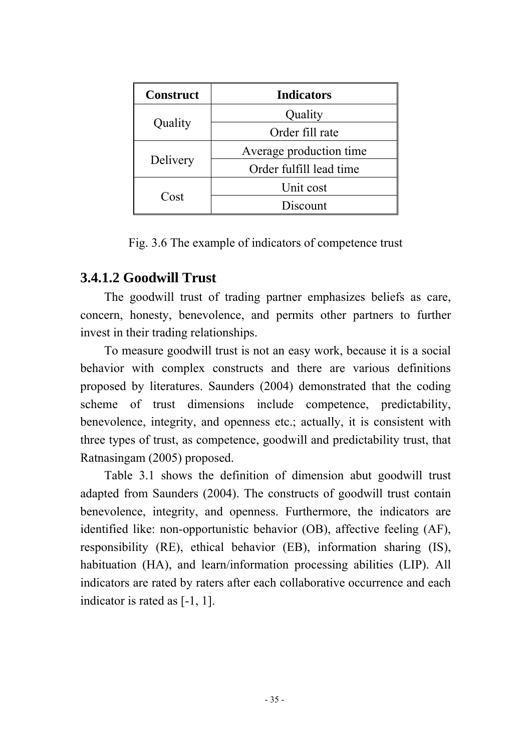| <b>Construct</b> | <b>Indicators</b>       |  |
|------------------|-------------------------|--|
|                  | Quality                 |  |
| Quality          | Order fill rate         |  |
|                  | Average production time |  |
| Delivery         | Order fulfill lead time |  |
|                  | Unit cost               |  |
| Cost             | Discount                |  |

Fig. 3.6 The example of indicators of competence trust

## **3.4.1.2 Goodwill Trust**

The goodwill trust of trading partner emphasizes beliefs as care, concern, honesty, benevolence, and permits other partners to further invest in their trading relationships.

To measure goodwill trust is not an easy work, because it is a social behavior with complex constructs and there are various definitions proposed by literatures. Saunders (2004) demonstrated that the coding scheme of trust dimensions include competence, predictability, benevolence, integrity, and openness etc.; actually, it is consistent with three types of trust, as competence, goodwill and predictability trust, that Ratnasingam (2005) proposed.

Table 3.1 shows the definition of dimension abut goodwill trust adapted from Saunders (2004). The constructs of goodwill trust contain benevolence, integrity, and openness. Furthermore, the indicators are identified like: non-opportunistic behavior (OB), affective feeling (AF), responsibility (RE), ethical behavior (EB), information sharing (IS), habituation (HA), and learn/information processing abilities (LIP). All indicators are rated by raters after each collaborative occurrence and each indicator is rated as [-1, 1].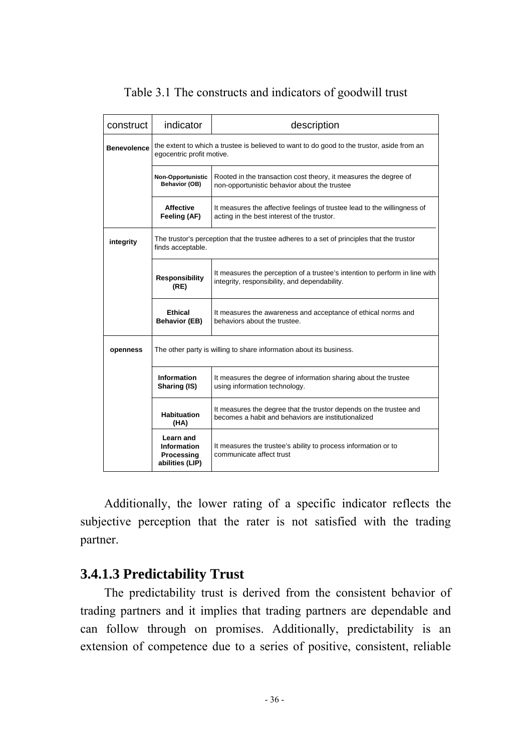| construct          | indicator                                                                                                               | description                                                                                                                  |  |  |  |  |
|--------------------|-------------------------------------------------------------------------------------------------------------------------|------------------------------------------------------------------------------------------------------------------------------|--|--|--|--|
| <b>Benevolence</b> | the extent to which a trustee is believed to want to do good to the trustor, aside from an<br>egocentric profit motive. |                                                                                                                              |  |  |  |  |
|                    | Non-Opportunistic<br>Behavior (OB)                                                                                      | Rooted in the transaction cost theory, it measures the degree of<br>non-opportunistic behavior about the trustee             |  |  |  |  |
|                    | <b>Affective</b><br>Feeling (AF)                                                                                        | It measures the affective feelings of trustee lead to the willingness of<br>acting in the best interest of the trustor.      |  |  |  |  |
| integrity          | finds acceptable.                                                                                                       | The trustor's perception that the trustee adheres to a set of principles that the trustor                                    |  |  |  |  |
|                    | <b>Responsibility</b><br>(RE)                                                                                           | It measures the perception of a trustee's intention to perform in line with<br>integrity, responsibility, and dependability. |  |  |  |  |
|                    | Ethical<br><b>Behavior (EB)</b>                                                                                         | It measures the awareness and acceptance of ethical norms and<br>behaviors about the trustee.                                |  |  |  |  |
| openness           |                                                                                                                         | The other party is willing to share information about its business.                                                          |  |  |  |  |
|                    | <b>Information</b><br>Sharing (IS)                                                                                      | It measures the degree of information sharing about the trustee<br>using information technology.                             |  |  |  |  |
|                    | <b>Habituation</b><br>(HA)                                                                                              | It measures the degree that the trustor depends on the trustee and<br>becomes a habit and behaviors are institutionalized    |  |  |  |  |
|                    | Learn and<br><b>Information</b><br>Processing<br>abilities (LIP)                                                        | It measures the trustee's ability to process information or to<br>communicate affect trust                                   |  |  |  |  |

## Table 3.1 The constructs and indicators of goodwill trust

Additionally, the lower rating of a specific indicator reflects the subjective perception that the rater is not satisfied with the trading partner.

## **3.4.1.3 Predictability Trust**

The predictability trust is derived from the consistent behavior of trading partners and it implies that trading partners are dependable and can follow through on promises. Additionally, predictability is an extension of competence due to a series of positive, consistent, reliable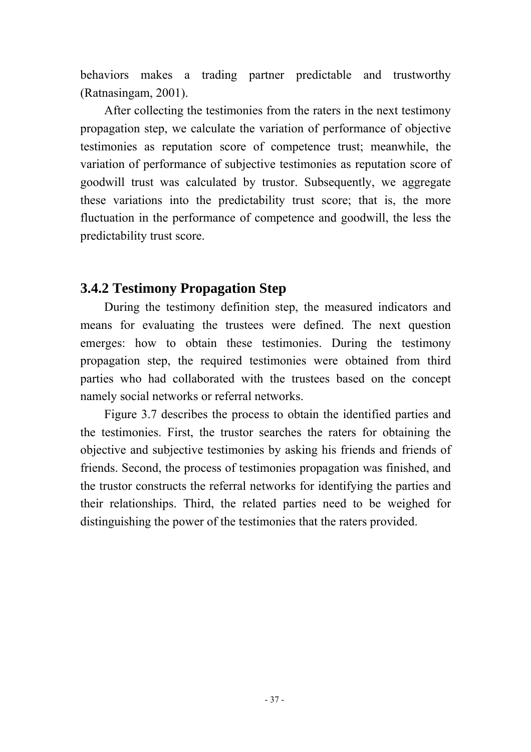behaviors makes a trading partner predictable and trustworthy (Ratnasingam, 2001).

After collecting the testimonies from the raters in the next testimony propagation step, we calculate the variation of performance of objective testimonies as reputation score of competence trust; meanwhile, the variation of performance of subjective testimonies as reputation score of goodwill trust was calculated by trustor. Subsequently, we aggregate these variations into the predictability trust score; that is, the more fluctuation in the performance of competence and goodwill, the less the predictability trust score.

## **3.4.2 Testimony Propagation Step**

During the testimony definition step, the measured indicators and means for evaluating the trustees were defined. The next question emerges: how to obtain these testimonies. During the testimony propagation step, the required testimonies were obtained from third parties who had collaborated with the trustees based on the concept namely social networks or referral networks.

Figure 3.7 describes the process to obtain the identified parties and the testimonies. First, the trustor searches the raters for obtaining the objective and subjective testimonies by asking his friends and friends of friends. Second, the process of testimonies propagation was finished, and the trustor constructs the referral networks for identifying the parties and their relationships. Third, the related parties need to be weighed for distinguishing the power of the testimonies that the raters provided.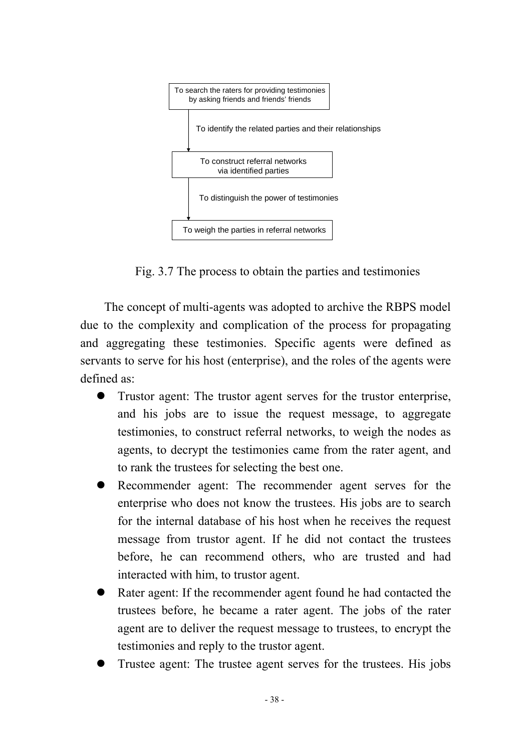

Fig. 3.7 The process to obtain the parties and testimonies

The concept of multi-agents was adopted to archive the RBPS model due to the complexity and complication of the process for propagating and aggregating these testimonies. Specific agents were defined as servants to serve for his host (enterprise), and the roles of the agents were defined as:

- Trustor agent: The trustor agent serves for the trustor enterprise, and his jobs are to issue the request message, to aggregate testimonies, to construct referral networks, to weigh the nodes as agents, to decrypt the testimonies came from the rater agent, and to rank the trustees for selecting the best one.
- Recommender agent: The recommender agent serves for the enterprise who does not know the trustees. His jobs are to search for the internal database of his host when he receives the request message from trustor agent. If he did not contact the trustees before, he can recommend others, who are trusted and had interacted with him, to trustor agent.
- Rater agent: If the recommender agent found he had contacted the trustees before, he became a rater agent. The jobs of the rater agent are to deliver the request message to trustees, to encrypt the testimonies and reply to the trustor agent.
- Trustee agent: The trustee agent serves for the trustees. His jobs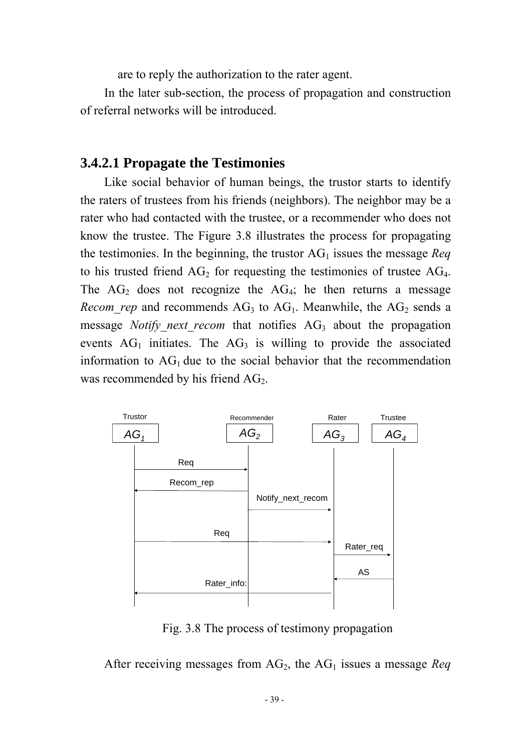are to reply the authorization to the rater agent.

In the later sub-section, the process of propagation and construction of referral networks will be introduced.

## **3.4.2.1 Propagate the Testimonies**

Like social behavior of human beings, the trustor starts to identify the raters of trustees from his friends (neighbors). The neighbor may be a rater who had contacted with the trustee, or a recommender who does not know the trustee. The Figure 3.8 illustrates the process for propagating the testimonies. In the beginning, the trustor  $AG_1$  issues the message *Req* to his trusted friend  $AG_2$  for requesting the testimonies of trustee  $AG_4$ . The  $AG_2$  does not recognize the  $AG_4$ ; he then returns a message *Recom rep* and recommends  $AG_3$  to  $AG_1$ . Meanwhile, the  $AG_2$  sends a message *Notify next recom* that notifies AG<sub>3</sub> about the propagation events  $AG<sub>1</sub>$  initiates. The  $AG<sub>3</sub>$  is willing to provide the associated information to  $AG_1$  due to the social behavior that the recommendation was recommended by his friend  $AG<sub>2</sub>$ .



Fig. 3.8 The process of testimony propagation

After receiving messages from  $AG_2$ , the  $AG_1$  issues a message *Req*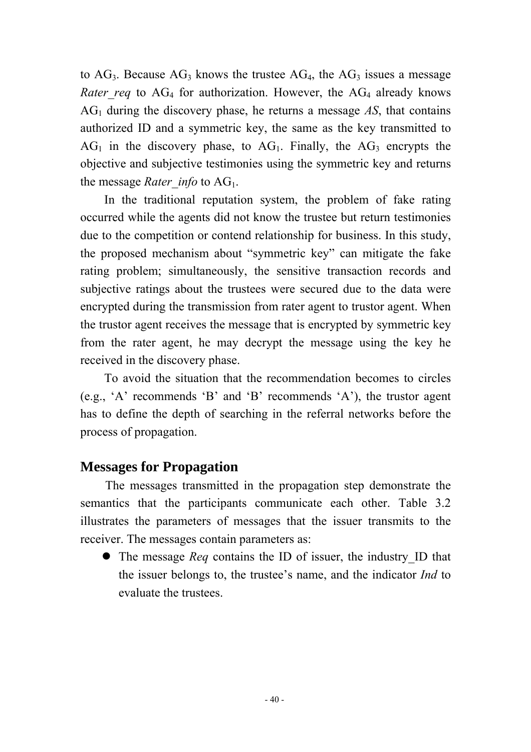to  $AG_3$ . Because  $AG_3$  knows the trustee  $AG_4$ , the  $AG_3$  issues a message *Rater req* to  $AG_4$  for authorization. However, the  $AG_4$  already knows  $AG<sub>1</sub>$  during the discovery phase, he returns a message  $AS$ , that contains authorized ID and a symmetric key, the same as the key transmitted to  $AG<sub>1</sub>$  in the discovery phase, to  $AG<sub>1</sub>$ . Finally, the  $AG<sub>3</sub>$  encrypts the objective and subjective testimonies using the symmetric key and returns the message *Rater info* to AG<sub>1</sub>.

In the traditional reputation system, the problem of fake rating occurred while the agents did not know the trustee but return testimonies due to the competition or contend relationship for business. In this study, the proposed mechanism about "symmetric key" can mitigate the fake rating problem; simultaneously, the sensitive transaction records and subjective ratings about the trustees were secured due to the data were encrypted during the transmission from rater agent to trustor agent. When the trustor agent receives the message that is encrypted by symmetric key from the rater agent, he may decrypt the message using the key he received in the discovery phase.

To avoid the situation that the recommendation becomes to circles (e.g., 'A' recommends 'B' and 'B' recommends 'A'), the trustor agent has to define the depth of searching in the referral networks before the process of propagation.

## **Messages for Propagation**

The messages transmitted in the propagation step demonstrate the semantics that the participants communicate each other. Table 3.2 illustrates the parameters of messages that the issuer transmits to the receiver. The messages contain parameters as:

• The message *Req* contains the ID of issuer, the industry ID that the issuer belongs to, the trustee's name, and the indicator *Ind* to evaluate the trustees.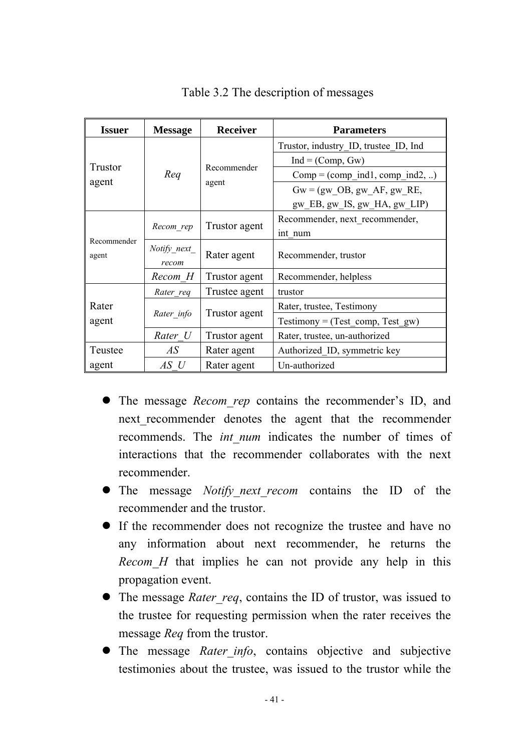| <b>Issuer</b>  | <b>Message</b> | <b>Receiver</b> | <b>Parameters</b>                                 |  |
|----------------|----------------|-----------------|---------------------------------------------------|--|
|                |                |                 | Trustor, industry ID, trustee ID, Ind             |  |
|                |                |                 | $Ind = (Comp, Gw)$                                |  |
| <b>Trustor</b> | Req            | Recommender     | $Comp = (comp \text{ ind1}, comp \text{ ind2}, )$ |  |
| agent          |                | agent           | $Gw = (gw \t{OB}, gw \t{AF}, gw \t{RE})$          |  |
|                |                |                 | $gw$ EB, $gw$ IS, $gw$ HA, $gw$ LIP)              |  |
|                |                |                 | Recommender, next recommender,                    |  |
| Recommender    | Recom rep      | Trustor agent   | int num                                           |  |
|                | Notify next    |                 | Rater agent<br>Recommender, trustor               |  |
| agent          | recom          |                 |                                                   |  |
|                | Recom H        | Trustor agent   | Recommender, helpless                             |  |
|                | Rater req      | Trustee agent   | trustor                                           |  |
| Rater          |                |                 | Rater, trustee, Testimony                         |  |
| agent          | Rater info     | Trustor agent   | $Testimony = (Test\_comp, Test\_gw)$              |  |
|                | Rater U        | Trustor agent   | Rater, trustee, un-authorized                     |  |
| Teustee        | AS             | Rater agent     | Authorized ID, symmetric key                      |  |
| agent          | $AS$ U         | Rater agent     | Un-authorized                                     |  |

Table 3.2 The description of messages

- The message *Recom rep* contains the recommender's ID, and next recommender denotes the agent that the recommender recommends. The *int num* indicates the number of times of interactions that the recommender collaborates with the next recommender.
- The message *Notify next recom* contains the ID of the recommender and the trustor.
- If the recommender does not recognize the trustee and have no any information about next recommender, he returns the *Recom H* that implies he can not provide any help in this propagation event.
- The message *Rater req*, contains the ID of trustor, was issued to the trustee for requesting permission when the rater receives the message *Req* from the trustor.
- The message *Rater info*, contains objective and subjective testimonies about the trustee, was issued to the trustor while the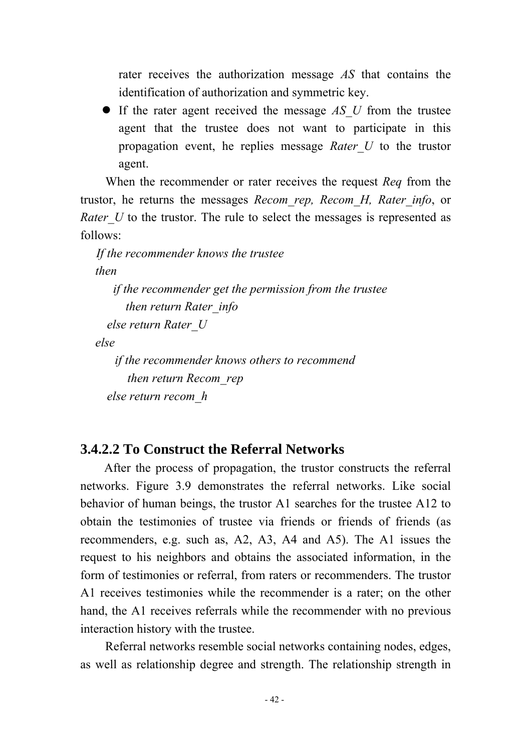rater receives the authorization message *AS* that contains the identification of authorization and symmetric key.

• If the rater agent received the message *AS U* from the trustee agent that the trustee does not want to participate in this propagation event, he replies message *Rater\_U* to the trustor agent.

When the recommender or rater receives the request *Req* from the trustor, he returns the messages *Recom\_rep, Recom\_H, Rater\_info*, or *Rater U* to the trustor. The rule to select the messages is represented as follows:

*If the recommender knows the trustee then if the recommender get the permission from the trustee then return Rater\_info else return Rater\_U else if the recommender knows others to recommend then return Recom\_rep else return recom\_h* 

## **3.4.2.2 To Construct the Referral Networks**

After the process of propagation, the trustor constructs the referral networks. Figure 3.9 demonstrates the referral networks. Like social behavior of human beings, the trustor A1 searches for the trustee A12 to obtain the testimonies of trustee via friends or friends of friends (as recommenders, e.g. such as, A2, A3, A4 and A5). The A1 issues the request to his neighbors and obtains the associated information, in the form of testimonies or referral, from raters or recommenders. The trustor A1 receives testimonies while the recommender is a rater; on the other hand, the A1 receives referrals while the recommender with no previous interaction history with the trustee.

Referral networks resemble social networks containing nodes, edges, as well as relationship degree and strength. The relationship strength in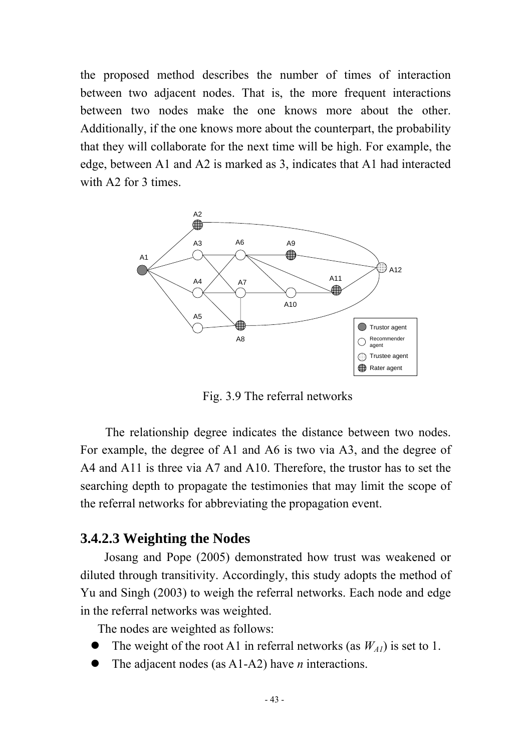the proposed method describes the number of times of interaction between two adjacent nodes. That is, the more frequent interactions between two nodes make the one knows more about the other. Additionally, if the one knows more about the counterpart, the probability that they will collaborate for the next time will be high. For example, the edge, between A1 and A2 is marked as 3, indicates that A1 had interacted with A<sub>2</sub> for 3 times.



Fig. 3.9 The referral networks

The relationship degree indicates the distance between two nodes. For example, the degree of A1 and A6 is two via A3, and the degree of A4 and A11 is three via A7 and A10. Therefore, the trustor has to set the searching depth to propagate the testimonies that may limit the scope of the referral networks for abbreviating the propagation event.

## **3.4.2.3 Weighting the Nodes**

Josang and Pope (2005) demonstrated how trust was weakened or diluted through transitivity. Accordingly, this study adopts the method of Yu and Singh (2003) to weigh the referral networks. Each node and edge in the referral networks was weighted.

The nodes are weighted as follows:

- The weight of the root A1 in referral networks (as  $W_{A1}$ ) is set to 1.
- The adjacent nodes (as A1-A2) have *n* interactions.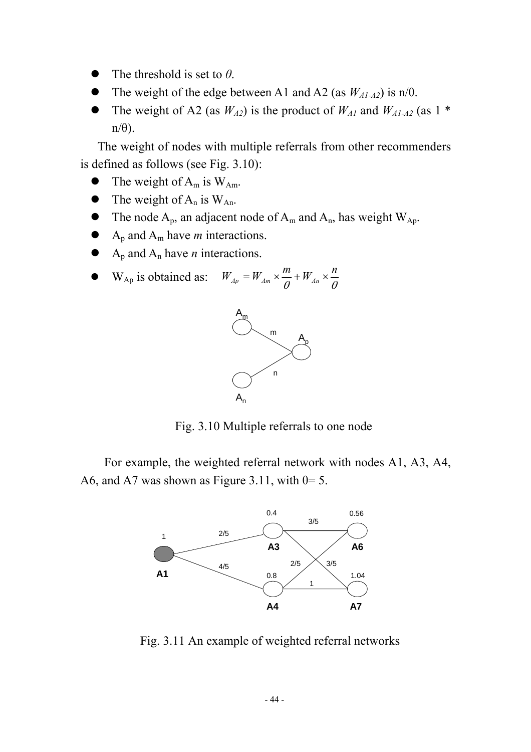- The threshold is set to  $\theta$ .
- The weight of the edge between A1 and A2 (as  $W_{A1-A2}$ ) is n/ $\theta$ .
- The weight of A2 (as  $W_{A2}$ ) is the product of  $W_{A1}$  and  $W_{A1-A2}$  (as 1  $*$  $n/\theta$ ).

The weight of nodes with multiple referrals from other recommenders is defined as follows (see Fig. 3.10):

- $\bullet$  The weight of A<sub>m</sub> is W<sub>Am</sub>.
- The weight of  $A_n$  is  $W_{An}$ .
- The node  $A_p$ , an adjacent node of  $A_m$  and  $A_n$ , has weight  $W_{Ap}$ .
- $A_p$  and  $A_m$  have *m* interactions.
- $A_p$  and  $A_n$  have *n* interactions.

• 
$$
W_{Ap}
$$
 is obtained as:  $W_{Ap} = W_{Am} \times \frac{m}{\theta} + W_{An} \times \frac{n}{\theta}$ 



Fig. 3.10 Multiple referrals to one node

For example, the weighted referral network with nodes A1, A3, A4, A6, and A7 was shown as Figure 3.11, with  $\theta = 5$ .



Fig. 3.11 An example of weighted referral networks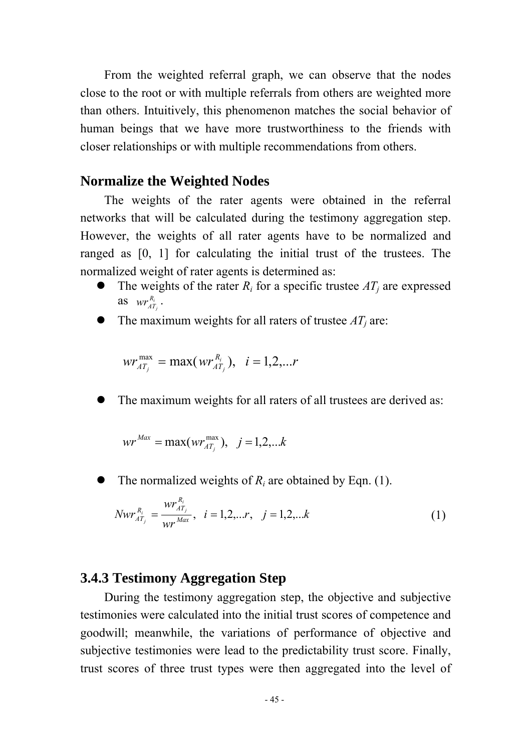From the weighted referral graph, we can observe that the nodes close to the root or with multiple referrals from others are weighted more than others. Intuitively, this phenomenon matches the social behavior of human beings that we have more trustworthiness to the friends with closer relationships or with multiple recommendations from others.

#### **Normalize the Weighted Nodes**

The weights of the rater agents were obtained in the referral networks that will be calculated during the testimony aggregation step. However, the weights of all rater agents have to be normalized and ranged as [0, 1] for calculating the initial trust of the trustees. The normalized weight of rater agents is determined as:

- The weights of the rater  $R_i$  for a specific trustee  $AT_j$  are expressed as  $wr_{AT_j}^{R_i}$  $\mathit{wr}^{R_i}_{\mathit{AT}_i}$  .
- The maximum weights for all raters of trustee  $AT_i$  are:

$$
wr_{AT_{i}}^{\max} = \max(wr_{AT_{i}}^{R_{i}}), i = 1,2,...r
$$

The maximum weights for all raters of all trustees are derived as:

$$
wr^{Max} = max(wr_{AT_j}^{max}), j = 1,2,...k
$$

The normalized weights of  $R_i$  are obtained by Eqn. (1).

$$
Nwr_{AT_j}^{R_i} = \frac{wr_{AT_j}^{R_i}}{wr_{max}}, \quad i = 1, 2, \dots r, \quad j = 1, 2, \dots k
$$
 (1)

# **3.4.3 Testimony Aggregation Step**

During the testimony aggregation step, the objective and subjective testimonies were calculated into the initial trust scores of competence and goodwill; meanwhile, the variations of performance of objective and subjective testimonies were lead to the predictability trust score. Finally, trust scores of three trust types were then aggregated into the level of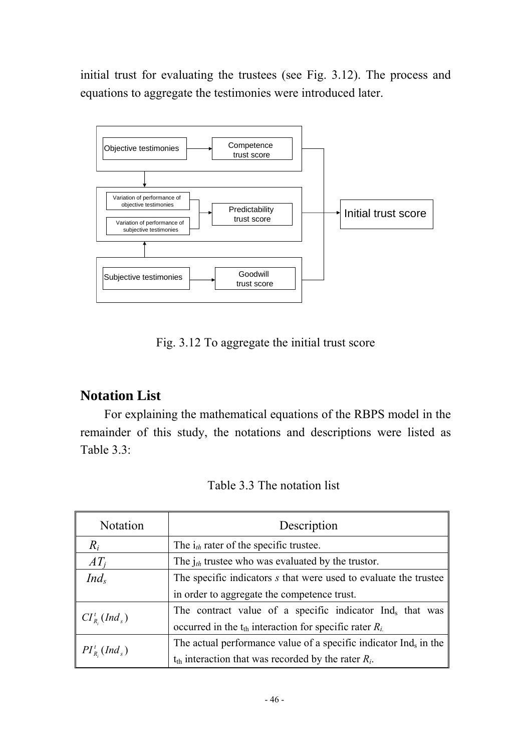initial trust for evaluating the trustees (see Fig. 3.12). The process and equations to aggregate the testimonies were introduced later.



Fig. 3.12 To aggregate the initial trust score

# **Notation List**

For explaining the mathematical equations of the RBPS model in the remainder of this study, the notations and descriptions were listed as Table 3.3:

| Table 3.3 The notation list |  |
|-----------------------------|--|
|-----------------------------|--|

| Notation                               | Description                                                                  |  |  |  |  |
|----------------------------------------|------------------------------------------------------------------------------|--|--|--|--|
| $R_i$                                  | The $i_{th}$ rater of the specific trustee.                                  |  |  |  |  |
| $AT_i$                                 | The $j_{th}$ trustee who was evaluated by the trustor.                       |  |  |  |  |
| $Ind_s$                                | The specific indicators s that were used to evaluate the trustee             |  |  |  |  |
|                                        | in order to aggregate the competence trust.                                  |  |  |  |  |
| $CI^{\dagger}_{R}$ (Ind <sub>s</sub> ) | The contract value of a specific indicator Ind <sub>s</sub> that was         |  |  |  |  |
|                                        | occurred in the $t_{th}$ interaction for specific rater $R_i$                |  |  |  |  |
|                                        | The actual performance value of a specific indicator Ind <sub>s</sub> in the |  |  |  |  |
| $PI_{R_i}^t(Ind_s)$                    | $t_{th}$ interaction that was recorded by the rater $R_i$ .                  |  |  |  |  |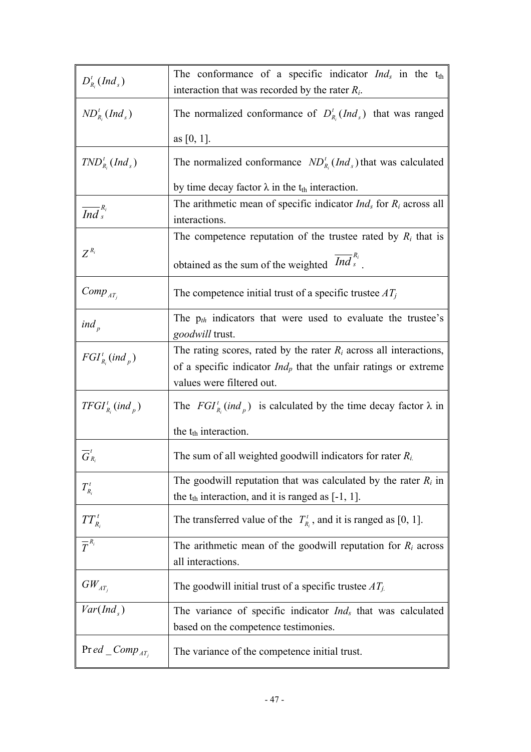| $D_{R_i}^t(Ind_s)$                                                                            | The conformance of a specific indicator $Ind_s$ in the t <sub>th</sub>                                                         |  |  |  |
|-----------------------------------------------------------------------------------------------|--------------------------------------------------------------------------------------------------------------------------------|--|--|--|
|                                                                                               | interaction that was recorded by the rater $R_i$ .                                                                             |  |  |  |
| $ND_{R_i}^t(Ind_s)$                                                                           | The normalized conformance of $D_{R_i}^t(Ind_s)$ that was ranged                                                               |  |  |  |
|                                                                                               | as [0, 1].                                                                                                                     |  |  |  |
| $TND_{R_i}^t(Ind_s)$                                                                          | The normalized conformance $ND_{R_i}^t(Ind_s)$ that was calculated                                                             |  |  |  |
|                                                                                               | by time decay factor $\lambda$ in the t <sub>th</sub> interaction.                                                             |  |  |  |
| $\overline{Ind}^{R_i}_s$                                                                      | The arithmetic mean of specific indicator $Ind_s$ for $R_i$ across all<br>interactions.                                        |  |  |  |
|                                                                                               | The competence reputation of the trustee rated by $R_i$ that is                                                                |  |  |  |
| $Z^{R_i}$                                                                                     | obtained as the sum of the weighted $\overline{Ind}_{s}^{R_i}$ .                                                               |  |  |  |
| $Comp_{AT_i}$                                                                                 | The competence initial trust of a specific trustee $AT_i$                                                                      |  |  |  |
| ind $_{p}$                                                                                    | The $p_{th}$ indicators that were used to evaluate the trustee's<br>goodwill trust.                                            |  |  |  |
| The rating scores, rated by the rater $R_i$ across all interactions,<br>$FGI_{R_i}^t (ind_p)$ |                                                                                                                                |  |  |  |
|                                                                                               | of a specific indicator $Ind_p$ that the unfair ratings or extreme<br>values were filtered out.                                |  |  |  |
| $TFGI_{R_i}^t (ind_p)$                                                                        | The $FGI_{R_i}^t$ (ind <sub>p</sub> ) is calculated by the time decay factor $\lambda$ in                                      |  |  |  |
|                                                                                               | the $t_{th}$ interaction.                                                                                                      |  |  |  |
| $G_{R_i}$                                                                                     | The sum of all weighted goodwill indicators for rater $R_i$                                                                    |  |  |  |
| $T_{R_i}^t$                                                                                   | The goodwill reputation that was calculated by the rater $R_i$ in<br>the $t_{th}$ interaction, and it is ranged as $[-1, 1]$ . |  |  |  |
| $TT_{R_i}^t$                                                                                  | The transferred value of the $T_{R_i}^t$ , and it is ranged as [0, 1].                                                         |  |  |  |
| $\overline{\overline{T}}^{R_i}$                                                               | The arithmetic mean of the goodwill reputation for $R_i$ across<br>all interactions.                                           |  |  |  |
| $GW _{_{AT_{j}}}$                                                                             | The goodwill initial trust of a specific trustee $AT_{j}$ .                                                                    |  |  |  |
| Var(Ind <sub>s</sub> )                                                                        | The variance of specific indicator $Ind_s$ that was calculated                                                                 |  |  |  |
|                                                                                               | based on the competence testimonies.                                                                                           |  |  |  |
| $\Pr ed\_{Comp_{AT_i}}$                                                                       | The variance of the competence initial trust.                                                                                  |  |  |  |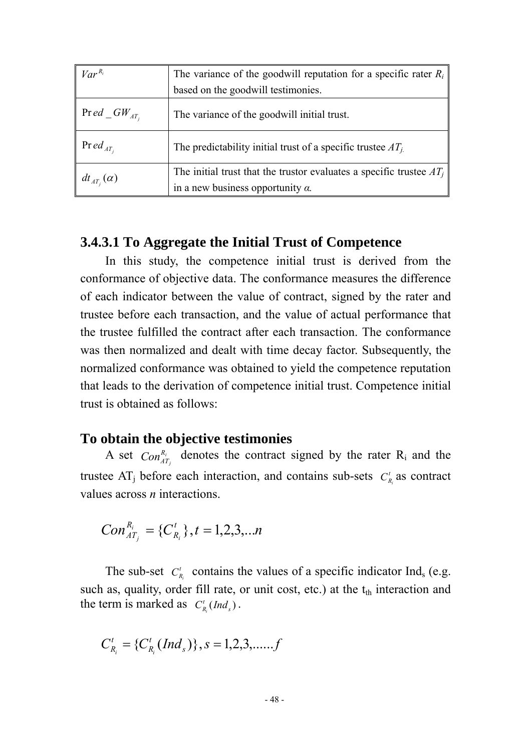| $Var^{R_i}$         | The variance of the goodwill reputation for a specific rater $R_i$                                                 |  |  |
|---------------------|--------------------------------------------------------------------------------------------------------------------|--|--|
|                     | based on the goodwill testimonies.                                                                                 |  |  |
| $\Pr ed\_GW_{AT_i}$ | The variance of the goodwill initial trust.                                                                        |  |  |
| $\Pr ed_{AT_i}$     | The predictability initial trust of a specific trustee $AT_i$                                                      |  |  |
| $dt_{AT_i}(\alpha)$ | The initial trust that the trustor evaluates a specific trustee $AT_i$<br>in a new business opportunity $\alpha$ . |  |  |

## **3.4.3.1 To Aggregate the Initial Trust of Competence**

In this study, the competence initial trust is derived from the conformance of objective data. The conformance measures the difference of each indicator between the value of contract, signed by the rater and trustee before each transaction, and the value of actual performance that the trustee fulfilled the contract after each transaction. The conformance was then normalized and dealt with time decay factor. Subsequently, the normalized conformance was obtained to yield the competence reputation that leads to the derivation of competence initial trust. Competence initial trust is obtained as follows:

### **To obtain the objective testimonies**

A set  $Con_{AT_{i}}^{R_{i}}$  denotes the contract signed by the rater R<sub>i</sub> and the trustee  $AT_j$  before each interaction, and contains sub-sets  $C_{R_i}^t$  as contract values across *n* interactions.

$$
Con_{AT_j}^{R_i} = {C_{R_i}^t}, t = 1,2,3,...n
$$

The sub-set  $C_{R_i}^t$  contains the values of a specific indicator Ind<sub>s</sub> (e.g. such as, quality, order fill rate, or unit cost, etc.) at the  $t<sub>th</sub>$  interaction and the term is marked as  $C_{R_i}^t(Ind_s)$ .

$$
C_{R_i}^t = \{C_{R_i}^t(Ind_s)\}, s = 1,2,3,......f
$$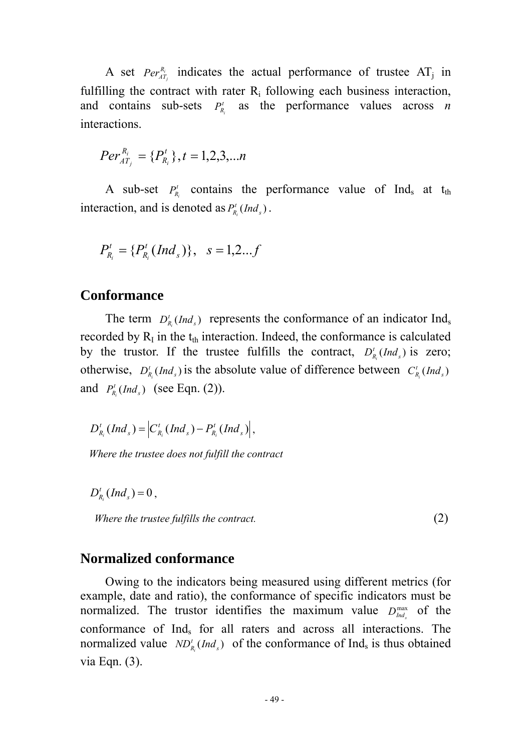A set  $Per_{AT_j}^{R_i}$  indicates the actual performance of trustee  $AT_j$  in fulfilling the contract with rater  $R_i$  following each business interaction, and contains sub-sets  $P_{R_i}^t$  as the performance values across *n* interactions.

$$
Per_{AT_j}^{R_i} = \{P_{R_i}^t\}, t = 1, 2, 3, \dots n
$$

A sub-set  $P_{R_i}^t$  contains the performance value of Ind<sub>s</sub> at t<sub>th</sub> interaction, and is denoted as  $P_{R_i}^t(Ind_s)$ .

$$
P_{R_i}^t = \{P_{R_i}^t(Ind_s)\}, \quad s = 1, 2...f
$$

#### **Conformance**

The term  $D_{R_i}^t$  *Ind<sub>s</sub>* represents the conformance of an indicator Ind<sub>s</sub> recorded by  $R_I$  in the  $t_{th}$  interaction. Indeed, the conformance is calculated by the trustor. If the trustee fulfills the contract,  $D_{R_i}^t(Ind_s)$  is zero; otherwise,  $D_{R_i}^t(Ind_s)$  is the absolute value of difference between  $C_{R_i}^t(Ind_s)$ and  $P_{R_i}^t(Ind_s)$  (see Eqn. (2)).

 $(Ind_{s}) = C_{R_{i}}^{t} (Ind_{s}) - P_{R_{i}}^{t} (Ind_{s})$  $s$ <sup>*I*</sup> *R t*  $s$   $\ell$   $\sim$   $\ell$  $D_{R_i}^t(Ind_s) = \left| C_{R_i}^t(Ind_s) - P_{R_i}^t(Ind_s) \right|,$ 

*Where the trustee does not fulfill the contract* 

 $D_{R_i}^t(Ind_s) = 0$ ,

*Where the trustee fulfills the contract.* (2)

#### **Normalized conformance**

Owing to the indicators being measured using different metrics (for example, date and ratio), the conformance of specific indicators must be normalized. The trustor identifies the maximum value  $D_{ind_s}^{max}$  of the conformance of Ind<sub>s</sub> for all raters and across all interactions. The normalized value  $ND'_{R_i}(Ind_s)$  of the conformance of Ind<sub>s</sub> is thus obtained via Eqn. (3).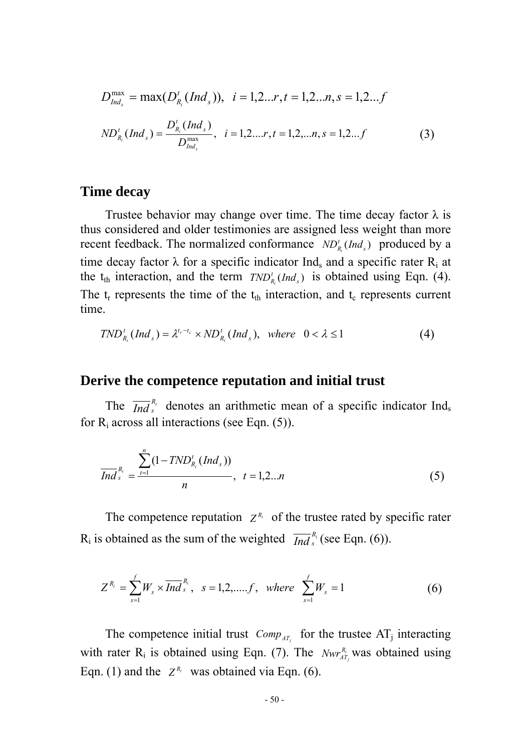$$
D_{Ind_s}^{\max} = \max(D_{R_i}^t(Ind_s)), \quad i = 1, 2...r, t = 1, 2...n, s = 1, 2...f
$$
  
\n
$$
ND_{R_i}^t(Ind_s) = \frac{D_{R_i}^t(Ind_s)}{D_{Ind_s}^{\max}}, \quad i = 1, 2...r, t = 1, 2,...n, s = 1, 2...f
$$
\n(3)

#### **Time decay**

Trustee behavior may change over time. The time decay factor  $\lambda$  is thus considered and older testimonies are assigned less weight than more recent feedback. The normalized conformance  $ND_{R_i}^t(Ind_s)$  produced by a time decay factor  $\lambda$  for a specific indicator Ind<sub>s</sub> and a specific rater R<sub>i</sub> at the  $t_{th}$  interaction, and the term  $TND_{R_i}^t(Ind_s)$  is obtained using Eqn. (4). The  $t_r$  represents the time of the  $t_{th}$  interaction, and  $t_c$  represents current time.

$$
TND_{R_i}^t(Ind_s) = \lambda^{t_r-t_c} \times ND_{R_i}^t(Ind_s), \text{ where } 0 < \lambda \le 1
$$
 (4)

### **Derive the competence reputation and initial trust**

The  $\overline{Ind}_{s}^{R_i}$  denotes an arithmetic mean of a specific indicator Ind<sub>s</sub> for  $R_i$  across all interactions (see Eqn. (5)).

$$
\overline{Ind}_{s}^{R_{i}} = \frac{\sum_{t=1}^{n} (1 - TND_{R_{i}}^{t} (Ind_{s}))}{n}, \quad t = 1, 2...n
$$
 (5)

The competence reputation  $Z^{R_i}$  of the trustee rated by specific rater  $R_i$  is obtained as the sum of the weighted  $\overline{Ind}_{s}^{R_i}$  (see Eqn. (6)).

$$
Z^{R_i} = \sum_{s=1}^{f} W_s \times \overline{Ind}^{R_i}_s, \quad s = 1, 2, \dots, f, \quad where \quad \sum_{s=1}^{f} W_s = 1 \tag{6}
$$

The competence initial trust  $Comp_{AT_i}$  for the trustee  $AT_j$  interacting with rater  $R_i$  is obtained using Eqn. (7). The *Nwr*<sup>R<sub>IT</sup></sub> was obtained using</sup> Eqn. (1) and the  $Z^{R_i}$  was obtained via Eqn. (6).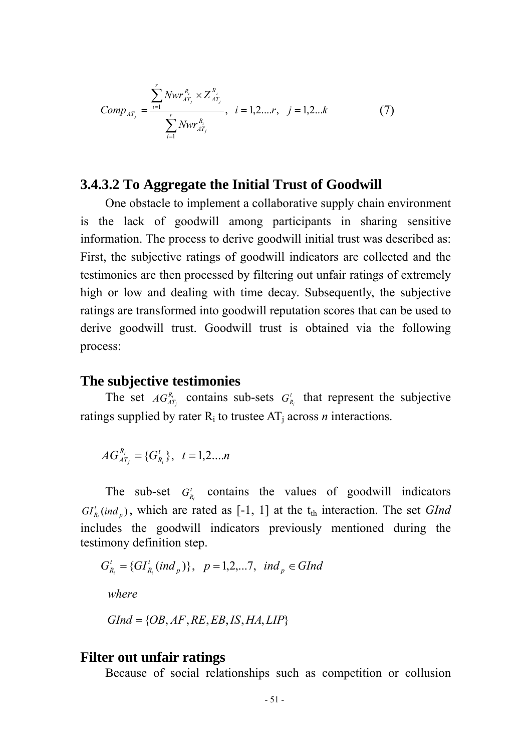Comp<sub>AT<sub>j</sub></sub> = 
$$
\frac{\sum_{i=1}^{r} Nwr_{AT_j}^{R_i} \times Z_{AT_j}^{R_i}}{\sum_{i=1}^{r} Nwr_{AT_j}^{R_i}}, \quad i = 1, 2...r, \quad j = 1, 2...k
$$
 (7)

### **3.4.3.2 To Aggregate the Initial Trust of Goodwill**

One obstacle to implement a collaborative supply chain environment is the lack of goodwill among participants in sharing sensitive information. The process to derive goodwill initial trust was described as: First, the subjective ratings of goodwill indicators are collected and the testimonies are then processed by filtering out unfair ratings of extremely high or low and dealing with time decay. Subsequently, the subjective ratings are transformed into goodwill reputation scores that can be used to derive goodwill trust. Goodwill trust is obtained via the following process:

### **The subjective testimonies**

The set  $AG_{AT_j}^{R_i}$  contains sub-sets  $G_{R_i}^t$  that represent the subjective ratings supplied by rater  $R_i$  to trustee  $AT_i$  across *n* interactions.

$$
AG_{AT_j}^{R_i} = \{G_{R_i}^t\}, \quad t = 1, 2, \dots n
$$

The sub-set  $G_{R_i}^t$  contains the values of goodwill indicators  $GL_{R_i}^t$  *(ind<sub>p</sub>)*, which are rated as [-1, 1] at the  $t_{th}$  interaction. The set *GInd* includes the goodwill indicators previously mentioned during the testimony definition step.

$$
G_{R_i}^t = \{GI_{R_i}^t(ind_p)\}, \quad p = 1, 2, \dots, 7, \quad ind_p \in GInd
$$
  
where

$$
GInd = \{OB, AF, RE, EB, IS, HA, LIP\}
$$

#### **Filter out unfair ratings**

Because of social relationships such as competition or collusion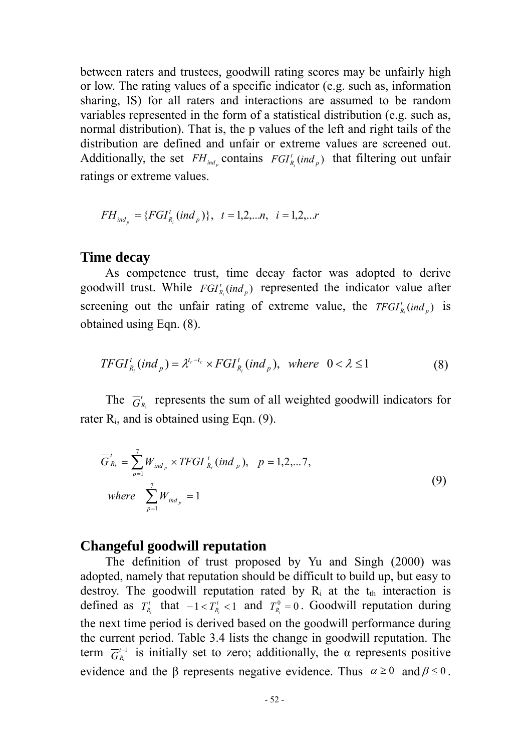between raters and trustees, goodwill rating scores may be unfairly high or low. The rating values of a specific indicator (e.g. such as, information sharing, IS) for all raters and interactions are assumed to be random variables represented in the form of a statistical distribution (e.g. such as, normal distribution). That is, the p values of the left and right tails of the distribution are defined and unfair or extreme values are screened out. Additionally, the set  $FH_{ind_p}$  contains  $FGI_{R_i}^t (ind_p)$  that filtering out unfair ratings or extreme values.

$$
FH_{ind_p} = \{FGI_{R_i}^t (ind_p)\}, \quad t = 1, 2, \dots n, \quad i = 1, 2, \dots r
$$

#### **Time decay**

As competence trust, time decay factor was adopted to derive goodwill trust. While  $FGI_{R_i}^t$  *ind*  $_p$  represented the indicator value after screening out the unfair rating of extreme value, the  $TFGI_{R_i}^t (ind_p)$  is obtained using Eqn. (8).

$$
TFGI_{R_i}^t (ind_p) = \lambda^{t_r - t_c} \times FGI_{R_i}^t (ind_p), \text{ where } 0 < \lambda \le 1
$$
 (8)

The  $\overline{G}_{R_i}^t$  represents the sum of all weighted goodwill indicators for rater  $R_i$ , and is obtained using Eqn. (9).

$$
\overline{G}_{R_i}^t = \sum_{p=1}^7 W_{ind_p} \times TFGI_{R_i}^t (ind_p), \quad p = 1, 2, \dots 7,
$$
  
where 
$$
\sum_{p=1}^7 W_{ind_p} = 1
$$
 (9)

#### **Changeful goodwill reputation**

The definition of trust proposed by Yu and Singh (2000) was adopted, namely that reputation should be difficult to build up, but easy to destroy. The goodwill reputation rated by  $R_i$  at the  $t_{th}$  interaction is defined as  $T_{R_i}^t$  that  $-1 < T_{R_i}^t < 1$  and  $T_{R_i}^0 = 0$ . Goodwill reputation during the next time period is derived based on the goodwill performance during the current period. Table 3.4 lists the change in goodwill reputation. The term  $\overline{G}_{R_i}^{t-1}$  is initially set to zero; additionally, the  $\alpha$  represents positive evidence and the β represents negative evidence. Thus  $\alpha \ge 0$  and  $\beta \le 0$ .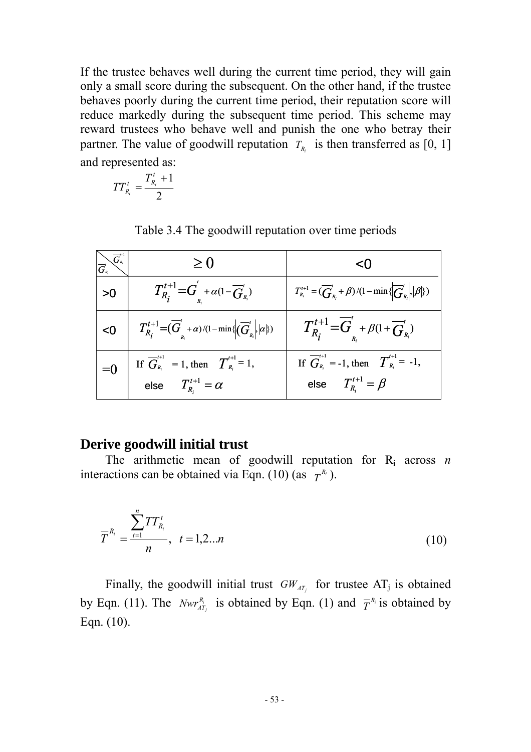If the trustee behaves well during the current time period, they will gain only a small score during the subsequent. On the other hand, if the trustee behaves poorly during the current time period, their reputation score will reduce markedly during the subsequent time period. This scheme may reward trustees who behave well and punish the one who betray their partner. The value of goodwill reputation  $T_{R_i}$  is then transferred as [0, 1] and represented as:

$$
TT_{R_i}^t=\frac{T_{R_i}^t+1}{2}
$$

Table 3.4 The goodwill reputation over time periods

| $\bigvee \vec{G}_{\scriptscriptstyle R_{i-1}}$ | $\geq 0$                                                                                                                                                          |                                                                                                           |
|------------------------------------------------|-------------------------------------------------------------------------------------------------------------------------------------------------------------------|-----------------------------------------------------------------------------------------------------------|
| >0                                             | $T_{R_i}^{t+1} = \overline{G}_k^t + \alpha(1 - \overline{G}_{R_i}^t)$                                                                                             | $T_{R_i}^{t+1} = (\overline{G}_{R_i}^t + \beta)/(1 - \min\{\left \overline{G}_{R_i}^t\right ,  \beta \})$ |
| < 0                                            | $\left  T^{t+1}_{R_i} = \left( \overline{G}'_{{}_{R_i}} + \alpha \right) / (1 - \min \left\{ \left( \overline{G}'_{{}_{R_i}} \right ,  \alpha  \right\}) \right $ | $T_{R_i}^{t+1} = \overline{G}_R^t + \beta(1 + \overline{G}_{R_i}^t)$                                      |
| $= 0$                                          | If $\overline{G}_{R_i}^{i+1} = 1$ , then $T_{R_i}^{i+1} = 1$ ,<br>else $T_{R_i}^{i+1} = \alpha$                                                                   | If $\overline{G}_{R_i}^{t+1}$ = -1, then $T_{R_i}^{t+1}$ = -1,<br>else $T_{R_i}^{t+1} = \beta$            |

#### **Derive goodwill initial trust**

The arithmetic mean of goodwill reputation for Ri across *n* interactions can be obtained via Eqn. (10) (as  $\overline{T}^{R_i}$ ).

$$
\overline{T}^{R_i} = \frac{\sum_{t=1}^n TT_{R_i}^t}{n}, \quad t = 1, 2...n
$$
\n(10)

Finally, the goodwill initial trust  $GW_{AT_i}$  for trustee AT<sub>j</sub> is obtained by Eqn. (11). The *Nwr*<sup>R<sub>I</sup></sub> is obtained by Eqn. (1) and  $\overline{T}^{R_i}$  is obtained by</sup> Eqn. (10).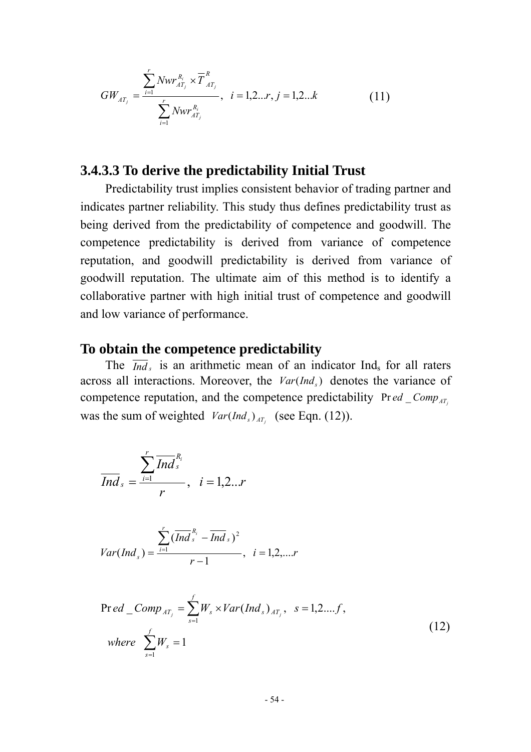$$
GW_{AT_j} = \frac{\sum_{i=1}^{r} Nwr_{AT_j}^{R_i} \times \overline{T}_{AT_j}^{R}}{\sum_{i=1}^{r} Nwr_{AT_j}^{R_i}}, \quad i = 1, 2...r, j = 1, 2...k
$$
 (11)

### **3.4.3.3 To derive the predictability Initial Trust**

Predictability trust implies consistent behavior of trading partner and indicates partner reliability. This study thus defines predictability trust as being derived from the predictability of competence and goodwill. The competence predictability is derived from variance of competence reputation, and goodwill predictability is derived from variance of goodwill reputation. The ultimate aim of this method is to identify a collaborative partner with high initial trust of competence and goodwill and low variance of performance.

#### **To obtain the competence predictability**

The  $\overline{Ind}_s$  is an arithmetic mean of an indicator Ind<sub>s</sub> for all raters across all interactions. Moreover, the  $Var(Ind<sub>s</sub>)$  denotes the variance of competence reputation, and the competence predictability  $Preed_{\textit{comp}_{AT_i}}$ was the sum of weighted  $Var(Ind_s)_{AT_s}$  (see Eqn. (12)).

$$
\overline{Ind}_{s}=\frac{\sum_{i=1}^{r}\overline{Ind}_{s}^{R_{i}}}{r}, i=1,2...r
$$

$$
Var(Ind_{s}) = \frac{\sum_{i=1}^{r} (\overline{Ind}_{s}^{R_{i}} - \overline{Ind}_{s})^{2}}{r-1}, \quad i = 1, 2, \dots r
$$

$$
\Pr ed\_{Comp_{AT_j}} = \sum_{s=1}^{f} W_s \times Var(Ind_s)_{AT_j}, \quad s = 1, 2, \dots, f,
$$
\n
$$
where \sum_{s=1}^{f} W_s = 1
$$
\n(12)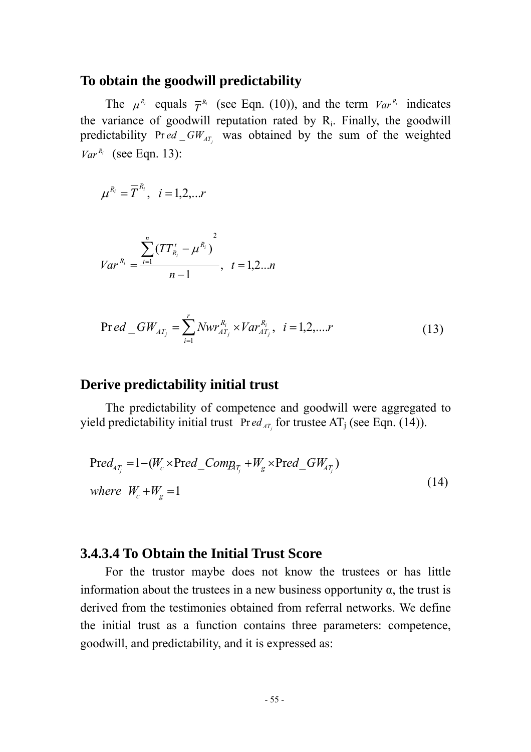#### **To obtain the goodwill predictability**

The  $\mu^{R_i}$  equals  $\overline{T}^{R_i}$  (see Eqn. (10)), and the term  $Var^{R_i}$  indicates the variance of goodwill reputation rated by  $R_i$ . Finally, the goodwill predictability  $Pr ed_GW_{AT}$  was obtained by the sum of the weighted  $Var^{R_i}$  (see Eqn. 13):

$$
\mu^{R_i}=\overline{T}^{R_i},\quad i=1,2,...r
$$

$$
Var^{R_i} = \frac{\sum_{t=1}^{n} (TT_{R_i}^t - \mu^{R_i})^2}{n-1}, \quad t = 1, 2...n
$$

$$
\Pr ed\_GW_{AT_j} = \sum_{i=1}^{r} Nwr_{AT_j}^{R_i} \times Var_{AT_j}^{R_i}, \ \ i = 1, 2, ....r \tag{13}
$$

#### **Derive predictability initial trust**

The predictability of competence and goodwill were aggregated to yield predictability initial trust *Pred<sub>AT<sub>i</sub>*</sub> for trustee AT<sub>j</sub> (see Eqn. (14)).

$$
\text{Pred}_{AT_j} = 1 - (W_c \times \text{Pred\_Comp}_{AT_j} + W_g \times \text{Pred\_GW}_{AT_j})
$$
\n
$$
\text{where} \quad W_c + W_g = 1 \tag{14}
$$

### **3.4.3.4 To Obtain the Initial Trust Score**

For the trustor maybe does not know the trustees or has little information about the trustees in a new business opportunity  $\alpha$ , the trust is derived from the testimonies obtained from referral networks. We define the initial trust as a function contains three parameters: competence, goodwill, and predictability, and it is expressed as: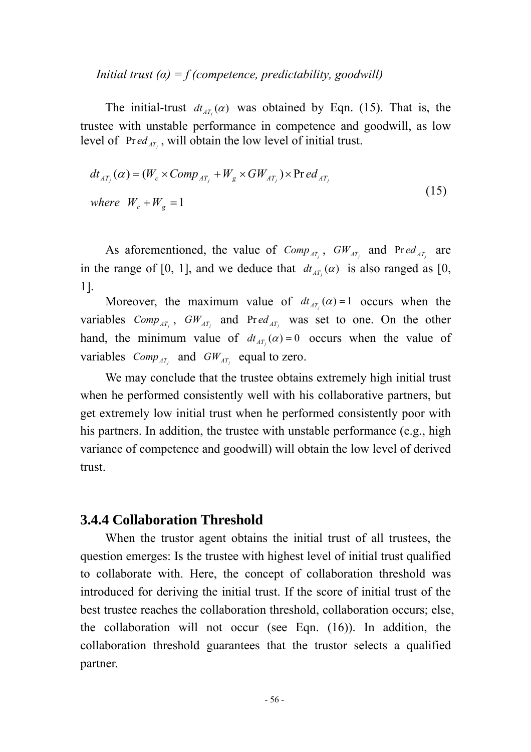*Initial trust*  $(a) = f$  (*competence, predictability, goodwill*)

The initial-trust  $dt_{AT}(\alpha)$  was obtained by Eqn. (15). That is, the trustee with unstable performance in competence and goodwill, as low level of  $Pred_{AT}$ , will obtain the low level of initial trust.

$$
dt_{AT_j}(\alpha) = (W_c \times Comp_{AT_j} + W_g \times GW_{AT_j}) \times \text{Pred}_{AT_j}
$$
  
where  $W_c + W_g = 1$  (15)

As aforementioned, the value of  $Comp_{AT_j}$ ,  $GW_{AT_j}$  and  $Pred_{AT_j}$  are in the range of [0, 1], and we deduce that  $dt_{AT}(\alpha)$  is also ranged as [0, 1].

Moreover, the maximum value of  $dt_{AT}(\alpha) = 1$  occurs when the variables  $Comp_{AT_j}$ ,  $GW_{AT_j}$  and  $Pred_{AT_j}$  was set to one. On the other hand, the minimum value of  $dt_{AT}(\alpha) = 0$  occurs when the value of variables  $Comp_{AT_i}$  and  $GW_{AT_i}$  equal to zero.

We may conclude that the trustee obtains extremely high initial trust when he performed consistently well with his collaborative partners, but get extremely low initial trust when he performed consistently poor with his partners. In addition, the trustee with unstable performance (e.g., high variance of competence and goodwill) will obtain the low level of derived trust.

### **3.4.4 Collaboration Threshold**

When the trustor agent obtains the initial trust of all trustees, the question emerges: Is the trustee with highest level of initial trust qualified to collaborate with. Here, the concept of collaboration threshold was introduced for deriving the initial trust. If the score of initial trust of the best trustee reaches the collaboration threshold, collaboration occurs; else, the collaboration will not occur (see Eqn. (16)). In addition, the collaboration threshold guarantees that the trustor selects a qualified partner.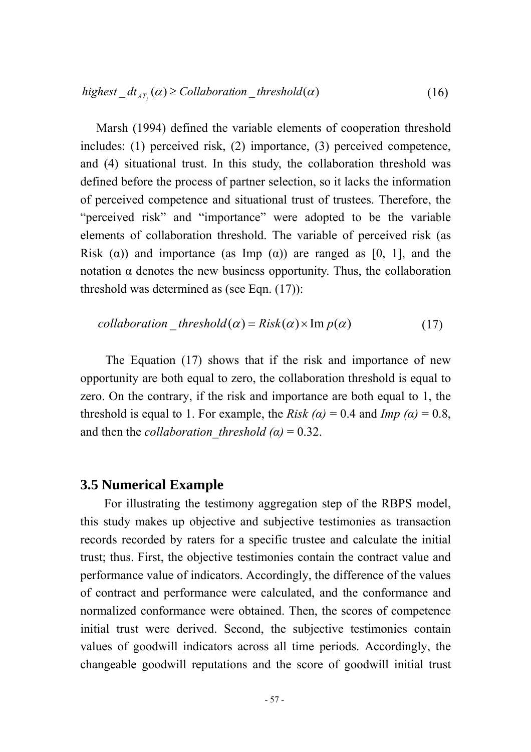Marsh (1994) defined the variable elements of cooperation threshold includes: (1) perceived risk, (2) importance, (3) perceived competence, and (4) situational trust. In this study, the collaboration threshold was defined before the process of partner selection, so it lacks the information of perceived competence and situational trust of trustees. Therefore, the "perceived risk" and "importance" were adopted to be the variable elements of collaboration threshold. The variable of perceived risk (as Risk ( $\alpha$ )) and importance (as Imp  $(\alpha)$ ) are ranged as [0, 1], and the notation α denotes the new business opportunity. Thus, the collaboration threshold was determined as (see Eqn. (17)):

$$
collaboration\_threshold(\alpha) = Risk(\alpha) \times Im p(\alpha)
$$
 (17)

The Equation (17) shows that if the risk and importance of new opportunity are both equal to zero, the collaboration threshold is equal to zero. On the contrary, if the risk and importance are both equal to 1, the threshold is equal to 1. For example, the *Risk* ( $\alpha$ ) = 0.4 and *Imp* ( $\alpha$ ) = 0.8, and then the *collaboration* threshold ( $\alpha$ ) = 0.32.

### **3.5 Numerical Example**

For illustrating the testimony aggregation step of the RBPS model, this study makes up objective and subjective testimonies as transaction records recorded by raters for a specific trustee and calculate the initial trust; thus. First, the objective testimonies contain the contract value and performance value of indicators. Accordingly, the difference of the values of contract and performance were calculated, and the conformance and normalized conformance were obtained. Then, the scores of competence initial trust were derived. Second, the subjective testimonies contain values of goodwill indicators across all time periods. Accordingly, the changeable goodwill reputations and the score of goodwill initial trust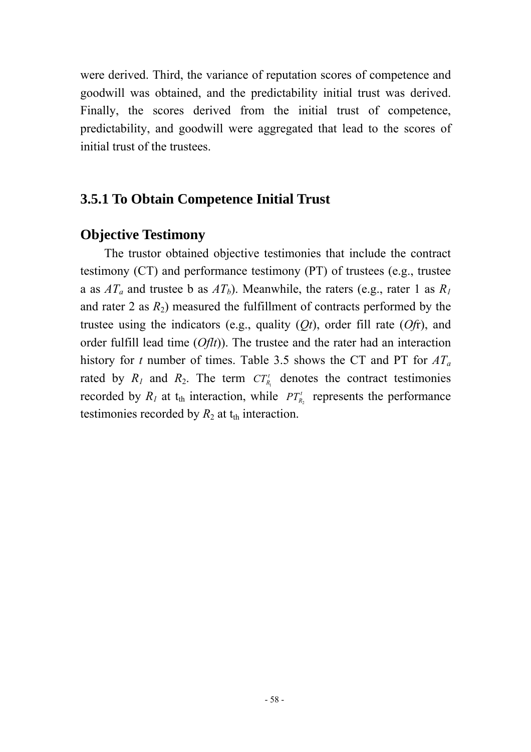were derived. Third, the variance of reputation scores of competence and goodwill was obtained, and the predictability initial trust was derived. Finally, the scores derived from the initial trust of competence, predictability, and goodwill were aggregated that lead to the scores of initial trust of the trustees.

# **3.5.1 To Obtain Competence Initial Trust**

## **Objective Testimony**

The trustor obtained objective testimonies that include the contract testimony (CT) and performance testimony (PT) of trustees (e.g., trustee a as  $AT_a$  and trustee b as  $AT_b$ ). Meanwhile, the raters (e.g., rater 1 as  $R_I$ ) and rater 2 as  $R_2$ ) measured the fulfillment of contracts performed by the trustee using the indicators (e.g., quality (*Qt*), order fill rate (*Of*r), and order fulfill lead time (*Oflt*)). The trustee and the rater had an interaction history for *t* number of times. Table 3.5 shows the CT and PT for *ATa* rated by  $R_1$  and  $R_2$ . The term  $CT_{R_1}$  denotes the contract testimonies recorded by  $R_1$  at  $t_{th}$  interaction, while  $PT'_{R_2}$  represents the performance testimonies recorded by  $R_2$  at  $t_{th}$  interaction.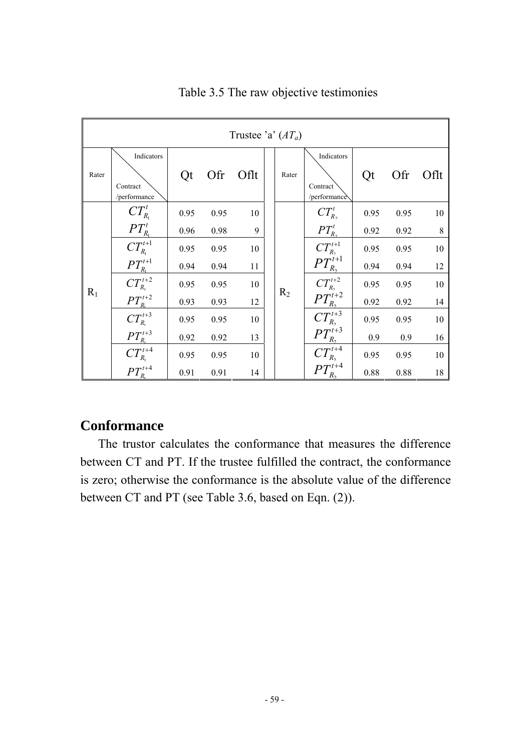|       | Trustee 'a' $(AT_a)$                                                        |      |      |      |  |       |                                        |      |      |      |
|-------|-----------------------------------------------------------------------------|------|------|------|--|-------|----------------------------------------|------|------|------|
| Rater | Indicators<br>Contract<br>/performance                                      | Qt   | Ofr  | Oflt |  | Rater | Indicators<br>Contract<br>/performance | Qt   | Ofr  | Oflt |
|       | $CT^t_{R_1}$                                                                | 0.95 | 0.95 | 10   |  |       | $CT^t_{R_2}$                           | 0.95 | 0.95 | 10   |
|       |                                                                             | 0.96 | 0.98 | 9    |  | $R_2$ | $PT_{R_2}^t$                           | 0.92 | 0.92 | 8    |
|       | $\frac{PT_{R_{\scriptscriptstyle1}}^t}{CT_{R_{\scriptscriptstyle1}}^{t+1}}$ | 0.95 | 0.95 | 10   |  |       | $CT_{R_2}^{t+1}$<br>$PT_{R_2}^{t+1}$   | 0.95 | 0.95 | 10   |
|       |                                                                             | 0.94 | 0.94 | 11   |  |       |                                        | 0.94 | 0.94 | 12   |
|       | $\frac{PT_{R_{1}}^{t+1}}{CT_{R_{1}}^{t+2}}$                                 | 0.95 | 0.95 | 10   |  |       | $CT_{R_2}^{t+2}$<br>$PT_{R_2}^{t+2}$   | 0.95 | 0.95 | 10   |
| $R_1$ |                                                                             | 0.93 | 0.93 | 12   |  |       |                                        | 0.92 | 0.92 | 14   |
|       | $\frac{PT_{R_{1}}^{t+2}}{CT_{R_{1}}^{t+3}}$                                 | 0.95 | 0.95 | 10   |  |       | $\overline{CT_{R_2}^{t+3}}$            | 0.95 | 0.95 | 10   |
|       |                                                                             | 0.92 | 0.92 | 13   |  |       | $PT_{R_2}^{t+3}$                       | 0.9  | 0.9  | 16   |
|       | $\frac{PT_{R_1}^{t+3}}{CT_{R_1}^{t+4}}$                                     | 0.95 | 0.95 | 10   |  |       | $CT_{R_2}^{t+4}$                       | 0.95 | 0.95 | 10   |
|       | $PT_{R_1}^{t+4}$                                                            | 0.91 | 0.91 | 14   |  |       | $PT_{R_2}^{t+4}$                       | 0.88 | 0.88 | 18   |

### Table 3.5 The raw objective testimonies

## **Conformance**

The trustor calculates the conformance that measures the difference between CT and PT. If the trustee fulfilled the contract, the conformance is zero; otherwise the conformance is the absolute value of the difference between CT and PT (see Table 3.6, based on Eqn. (2)).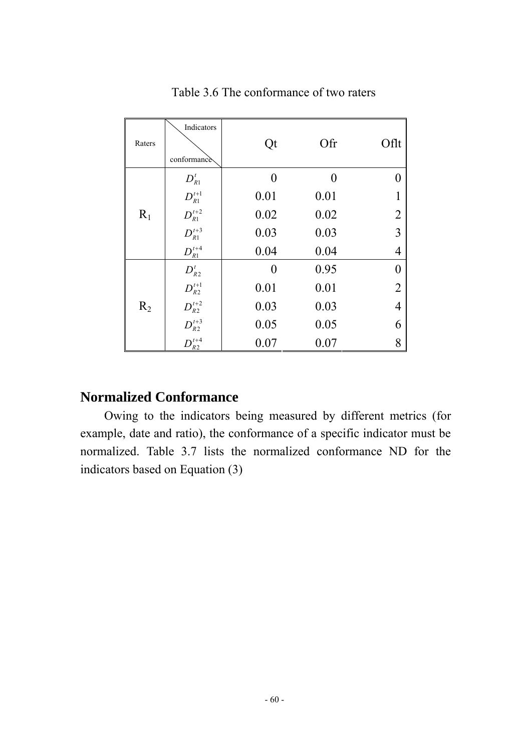| Raters | Indicators<br>conformance                              | Qt   | Ofr  | Oflt             |
|--------|--------------------------------------------------------|------|------|------------------|
|        | $D_{R1}^t$                                             | 0    | ∩    | 0                |
|        | $D_{R1}^{t+1}$                                         | 0.01 | 0.01 | 1                |
| $R_1$  | $D_{R1}^{t+2}$                                         | 0.02 | 0.02 | $\overline{2}$   |
|        | $D_{R1}^{t+3}$                                         | 0.03 | 0.03 | $\overline{3}$   |
|        | $D_{R1}^{t+4}$                                         | 0.04 | 0.04 | $\overline{4}$   |
|        | $D_{\scriptscriptstyle R2}^t$                          | 0    | 0.95 | $\boldsymbol{0}$ |
|        | $D_{\scriptscriptstyle{R2}}^{\scriptscriptstyle{t+1}}$ | 0.01 | 0.01 | $\overline{2}$   |
| $R_2$  | $D_{R2}^{t+2}$                                         | 0.03 | 0.03 | $\overline{4}$   |
|        | $D_{R2}^{t+3}$                                         | 0.05 | 0.05 | 6                |
|        | $D_{\underline{R2}}^{t+4}$                             | 0.07 | 0.07 | 8                |

Table 3.6 The conformance of two raters

## **Normalized Conformance**

Owing to the indicators being measured by different metrics (for example, date and ratio), the conformance of a specific indicator must be normalized. Table 3.7 lists the normalized conformance ND for the indicators based on Equation (3)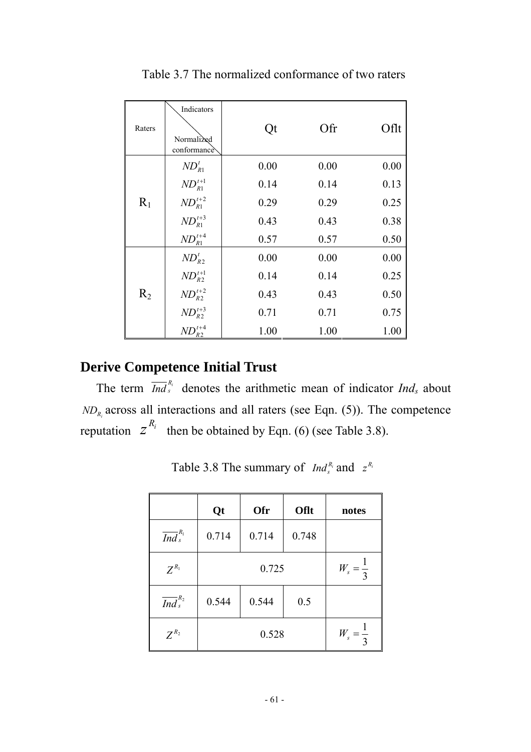| Raters | Indicators<br>Normali <sub>zed</sub><br>conformance | Qt   | Ofr  | Oflt |
|--------|-----------------------------------------------------|------|------|------|
|        | $ND_{R1}^t$                                         | 0.00 | 0.00 | 0.00 |
|        | $ND_{R1}^{t+1}$                                     | 0.14 | 0.14 | 0.13 |
| $R_1$  | $ND_{R1}^{t+2}$                                     | 0.29 | 0.29 | 0.25 |
|        | $ND_{R1}^{t+3}$                                     | 0.43 | 0.43 | 0.38 |
|        | $ND_{R1}^{t+4}$                                     | 0.57 | 0.57 | 0.50 |
|        | $ND_{R2}^t$                                         | 0.00 | 0.00 | 0.00 |
|        | $ND_{R2}^{t+1}$                                     | 0.14 | 0.14 | 0.25 |
| $R_2$  | $ND_{R2}^{t+2}$                                     | 0.43 | 0.43 | 0.50 |
|        | $ND_{R2}^{t+3}$                                     | 0.71 | 0.71 | 0.75 |
|        | $ND_{R2}^{t+4}$                                     | 1.00 | 1.00 | 1.00 |

Table 3.7 The normalized conformance of two raters

# **Derive Competence Initial Trust**

The term  $\overline{Ind}_{s}^{R_i}$  denotes the arithmetic mean of indicator  $Ind_s$  about  $ND_{R_i}$  across all interactions and all raters (see Eqn. (5)). The competence reputation  $z^{R_i}$  then be obtained by Eqn. (6) (see Table 3.8).

|                              | Qt    | Ofr                 | Oflt  | notes |
|------------------------------|-------|---------------------|-------|-------|
| $\overline{Ind}_{s}^{R_{1}}$ | 0.714 | 0.714               | 0.748 |       |
| $Z^{R_1}$                    |       | $W_s = \frac{1}{3}$ |       |       |
| $\overline{Ind}^{R_2}_s$     | 0.544 | 0.544               | 0.5   |       |
| $Z^{R_2}$                    |       | $W_s = \frac{1}{3}$ |       |       |

Table 3.8 The summary of *Ind*<sub>s</sub><sup>*R<sub>i</sub>*</sup> and  $z^{R_i}$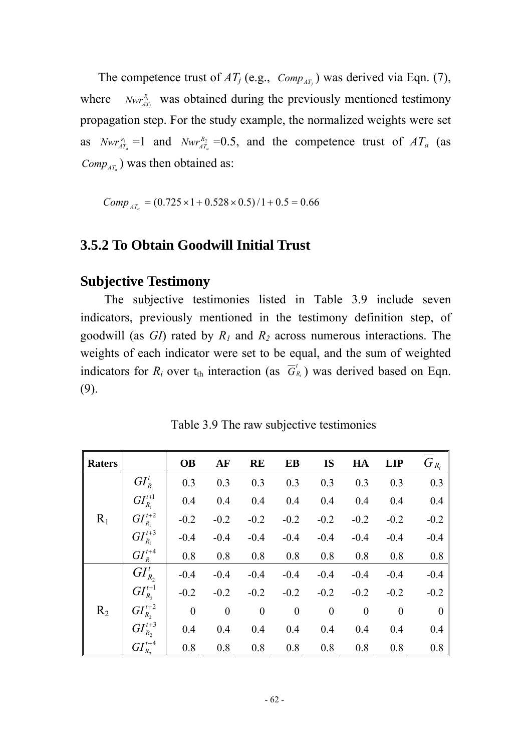The competence trust of  $AT_j$  (e.g.,  $Comp_{AT_j}$ ) was derived via Eqn. (7), where  $Nwr_{AT_j}^{R_i}$  was obtained during the previously mentioned testimony propagation step. For the study example, the normalized weights were set as *Nwr*<sup>*n*</sup><sub>*AT<sub>a</sub>*</sub> =1 and *Nwr*<sup>*n*<sub>*AT<sub>a</sub>*</sub> =0.5, and the competence trust of  $AT_a$  (as</sup>  $Comp_{AT}$ ) was then obtained as:

 $Comp_{AT_a} = (0.725 \times 1 + 0.528 \times 0.5)/1 + 0.5 = 0.66$ 

## **3.5.2 To Obtain Goodwill Initial Trust**

#### **Subjective Testimony**

The subjective testimonies listed in Table 3.9 include seven indicators, previously mentioned in the testimony definition step, of goodwill (as *GI*) rated by *R1* and *R2* across numerous interactions. The weights of each indicator were set to be equal, and the sum of weighted indicators for  $R_i$  over  $t_{\text{th}}$  interaction (as  $\overline{G}_{R_i}^t$ ) was derived based on Eqn. (9).

| <b>Raters</b> |                   | <b>OB</b>        | AF               | <b>RE</b>        | EB               | <b>IS</b>        | HA               | <b>LIP</b>       | $G_{R_i}$      |
|---------------|-------------------|------------------|------------------|------------------|------------------|------------------|------------------|------------------|----------------|
|               | $GI_{R_1}^t$      | 0.3              | 0.3              | 0.3              | 0.3              | 0.3              | 0.3              | 0.3              | 0.3            |
|               | $GI'^{t+1}_{R_1}$ | 0.4              | 0.4              | 0.4              | 0.4              | 0.4              | 0.4              | 0.4              | 0.4            |
| $R_1$         | $GI_{R_1}^{t+2}$  | $-0.2$           | $-0.2$           | $-0.2$           | $-0.2$           | $-0.2$           | $-0.2$           | $-0.2$           | $-0.2$         |
|               | $GI_{R_1}^{t+3}$  | $-0.4$           | $-0.4$           | $-0.4$           | $-0.4$           | $-0.4$           | $-0.4$           | $-0.4$           | $-0.4$         |
|               | $GI_{R_1}^{t+4}$  | 0.8              | 0.8              | 0.8              | 0.8              | 0.8              | 0.8              | 0.8              | 0.8            |
|               | $GI_{R_2}^t$      | $-0.4$           | $-0.4$           | $-0.4$           | $-0.4$           | $-0.4$           | $-0.4$           | $-0.4$           | $-0.4$         |
|               | $GI_{R_2}^{t+1}$  | $-0.2$           | $-0.2$           | $-0.2$           | $-0.2$           | $-0.2$           | $-0.2$           | $-0.2$           | $-0.2$         |
| $R_2$         | $GI_{R_2}^{t+2}$  | $\boldsymbol{0}$ | $\boldsymbol{0}$ | $\boldsymbol{0}$ | $\boldsymbol{0}$ | $\boldsymbol{0}$ | $\boldsymbol{0}$ | $\boldsymbol{0}$ | $\overline{0}$ |
|               | $GI'^{+3}_{R_2}$  | 0.4              | 0.4              | 0.4              | 0.4              | 0.4              | 0.4              | 0.4              | 0.4            |
|               | $GI_{R_2}^{t+4}$  | 0.8              | 0.8              | 0.8              | 0.8              | 0.8              | 0.8              | 0.8              | 0.8            |

Table 3.9 The raw subjective testimonies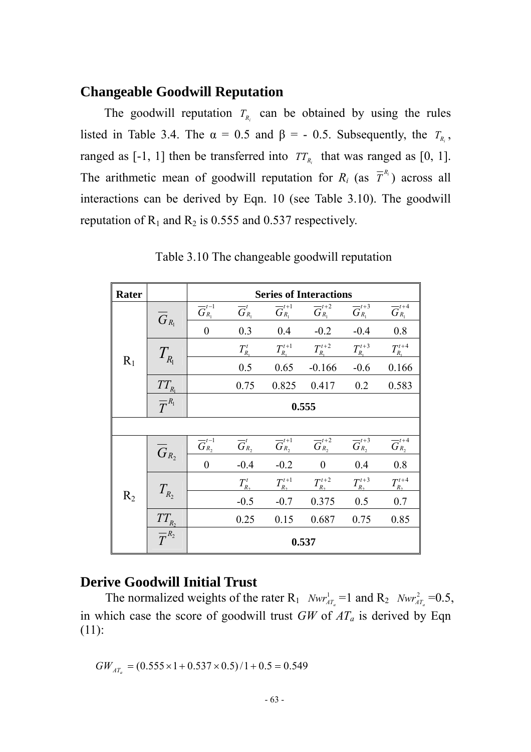## **Changeable Goodwill Reputation**

The goodwill reputation  $T_{R_i}$  can be obtained by using the rules listed in Table 3.4. The  $\alpha = 0.5$  and  $\beta = -0.5$ . Subsequently, the  $T_{R_i}$ , ranged as  $[-1, 1]$  then be transferred into  $TT_{R_i}$  that was ranged as  $[0, 1]$ . The arithmetic mean of goodwill reputation for  $R_i$  (as  $\overline{T}^{R_i}$ ) across all interactions can be derived by Eqn. 10 (see Table 3.10). The goodwill reputation of  $R_1$  and  $R_2$  is 0.555 and 0.537 respectively.

| Rater |                            | <b>Series of Interactions</b>                                          |                                                                |                              |                                                                        |                              |                                  |  |  |
|-------|----------------------------|------------------------------------------------------------------------|----------------------------------------------------------------|------------------------------|------------------------------------------------------------------------|------------------------------|----------------------------------|--|--|
| $R_1$ | $G_{R_1}$                  | $\overline{G}_{\scriptscriptstyle R_{\rm I}}^{\scriptscriptstyle t-1}$ | $\overline{G}_{R_1}^t$                                         | $\overline{G}_{R_{1}}^{t+1}$ | $\overline{G}_{\scriptscriptstyle R_{\rm l}}^{\scriptscriptstyle t+2}$ | $\overline{G}_{R_1}^{t+3}$   | $\overline{G}_{R_{\rm l}}^{t+4}$ |  |  |
|       |                            | $\overline{0}$                                                         | 0.3                                                            | 0.4                          | $-0.2$                                                                 | $-0.4$                       | 0.8                              |  |  |
|       | $T_{R_1}$                  |                                                                        | $T_{R_1}^t$                                                    | $T^{t+1}_{R_1}$              | $T^{t+2}_{R_1}$                                                        | $T_{R_1}^{t+3}$              | $T_{R_1}^{t+4}$                  |  |  |
|       |                            |                                                                        | 0.5                                                            | 0.65                         | $-0.166$                                                               | $-0.6$                       | 0.166                            |  |  |
|       |                            |                                                                        | 0.75                                                           | 0.825                        | 0.417                                                                  | 0.2                          | 0.583                            |  |  |
|       | $\frac{TT_{R_1}}{T^{R_1}}$ | 0.555                                                                  |                                                                |                              |                                                                        |                              |                                  |  |  |
|       |                            |                                                                        |                                                                |                              |                                                                        |                              |                                  |  |  |
| $R_2$ | $\overline{G}_{R_{2}}$     | $\overline{G}_{R_{2}}^{t-1}$                                           | $\overline{G}_{\scriptscriptstyle R_2}^{\scriptscriptstyle t}$ | $\overline{G}_{R_{2}}^{t+1}$ | $\overline{G}_{R_{2}}^{t+2}$                                           | $\overline{G}_{R_{2}}^{t+3}$ | $\overline{G}_{R_2}^{t+4}$       |  |  |
|       |                            | $\overline{0}$                                                         | $-0.4$                                                         | $-0.2$                       | $\mathbf{0}$                                                           | 0.4                          | 0.8                              |  |  |
|       | $T_{R_2}$                  |                                                                        | $T_{R_2}^t$                                                    | $T_{R_2}^{t+1}$              | $T_{R_2}^{t+2}$                                                        | $T_{R_2}^{t+3}$              | $T_{R_2}^{t+4}$                  |  |  |
|       |                            |                                                                        | $-0.5$                                                         | $-0.7$                       | 0.375                                                                  | 0.5                          | 0.7                              |  |  |
|       |                            |                                                                        | 0.25                                                           | 0.15                         | 0.687                                                                  | 0.75                         | 0.85                             |  |  |
|       | $\frac{TT_{R_2}}{T^{R_2}}$ | 0.537                                                                  |                                                                |                              |                                                                        |                              |                                  |  |  |

Table 3.10 The changeable goodwill reputation

### **Derive Goodwill Initial Trust**

The normalized weights of the rater  $R_1$  *Nwr*<sup>1</sup><sub>*AT<sub>a</sub>*</sub> =1 and  $R_2$  *Nwr*<sup>2</sup><sub>*AT<sub>a</sub>*</sub> =0.5, in which case the score of goodwill trust *GW* of *ATa* is derived by Eqn (11):

$$
GW_{\rm\scriptscriptstyle AT_{a}} = (0.555 \times 1 + 0.537 \times 0.5)/1 + 0.5 = 0.549
$$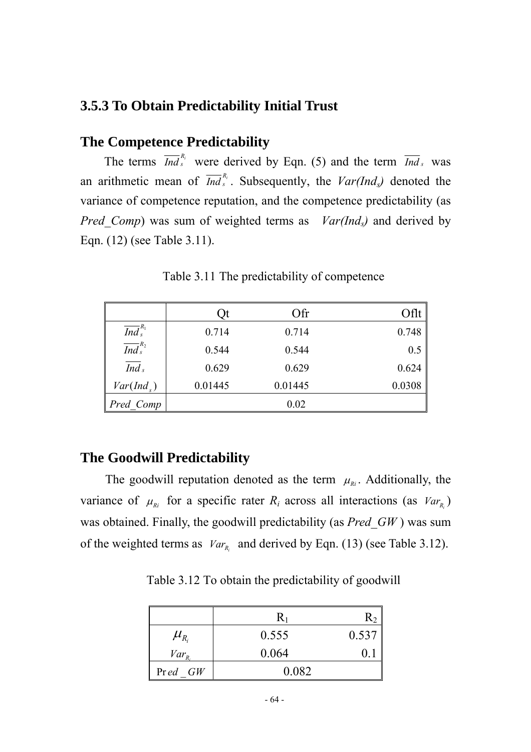## **3.5.3 To Obtain Predictability Initial Trust**

## **The Competence Predictability**

The terms  $\overline{Ind}_{s}^{R_i}$  were derived by Eqn. (5) and the term  $\overline{Ind}_{s}$  was an arithmetic mean of  $\overline{Ind}_{s}^{R_i}$ . Subsequently, the  $Var(Ind_s)$  denoted the variance of competence reputation, and the competence predictability (as *Pred Comp*) was sum of weighted terms as *Var(Ind<sub>s</sub>)* and derived by Eqn. (12) (see Table 3.11).

|                              | Qt      | Ofr     | Oflt   |
|------------------------------|---------|---------|--------|
| $\overline{Ind}_{s}^{R_{1}}$ | 0.714   | 0.714   | 0.748  |
| $\overline{Ind}^{R_2}_s$     | 0.544   | 0.544   | 0.5    |
| Ind <sub>s</sub>             | 0.629   | 0.629   | 0.624  |
| $Var(Ind_s)$                 | 0.01445 | 0.01445 | 0.0308 |
| Pred Comp                    |         | 0.02    |        |

Table 3.11 The predictability of competence

## **The Goodwill Predictability**

The goodwill reputation denoted as the term  $\mu_{Ri}$ . Additionally, the variance of  $\mu_{Ri}$  for a specific rater  $R_i$  across all interactions (as  $Var_{R_i}$ ) was obtained. Finally, the goodwill predictability (as *Pred\_GW* ) was sum of the weighted terms as  $Var_{R_i}$  and derived by Eqn. (13) (see Table 3.12).

Table 3.12 To obtain the predictability of goodwill

|                                | $\rm R_1$ |          |
|--------------------------------|-----------|----------|
| $\mu_{\scriptscriptstyle R_i}$ | 0.555     | 0.537    |
| $Var_R$                        | 0.064     | $\Omega$ |
| $Pred$ $GW$                    | 0.082     |          |